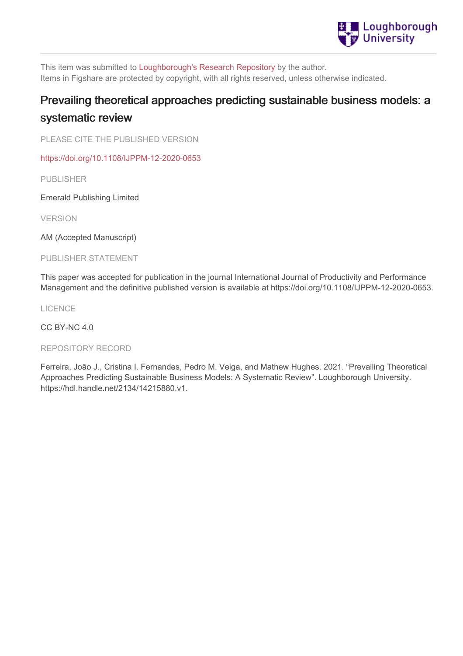

This item was submitted to [Loughborough's](https://lboro.figshare.com/) Research Repository by the author. Items in Figshare are protected by copyright, with all rights reserved, unless otherwise indicated.

# Prevailing theoretical approaches predicting sustainable business models: a systematic review

PLEASE CITE THE PUBLISHED VERSION

<https://doi.org/10.1108/IJPPM-12-2020-0653>

PUBLISHER

Emerald Publishing Limited

VERSION

AM (Accepted Manuscript)

PUBLISHER STATEMENT

This paper was accepted for publication in the journal International Journal of Productivity and Performance Management and the definitive published version is available at https://doi.org/10.1108/IJPPM-12-2020-0653.

LICENCE

CC BY-NC 4.0

#### REPOSITORY RECORD

Ferreira, João J., Cristina I. Fernandes, Pedro M. Veiga, and Mathew Hughes. 2021. "Prevailing Theoretical Approaches Predicting Sustainable Business Models: A Systematic Review". Loughborough University. https://hdl.handle.net/2134/14215880.v1.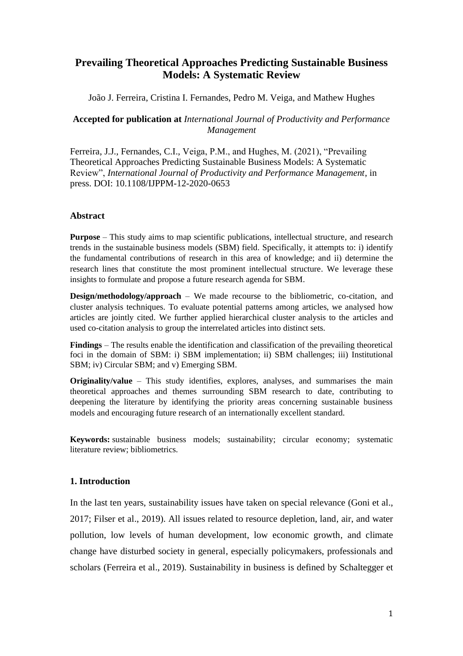# **Prevailing Theoretical Approaches Predicting Sustainable Business Models: A Systematic Review**

João J. Ferreira, Cristina I. Fernandes, Pedro M. Veiga, and Mathew Hughes

**Accepted for publication at** *International Journal of Productivity and Performance Management*

Ferreira, J.J., Fernandes, C.I., Veiga, P.M., and Hughes, M. (2021), "Prevailing Theoretical Approaches Predicting Sustainable Business Models: A Systematic Review", *International Journal of Productivity and Performance Management*, in press. DOI: 10.1108/IJPPM-12-2020-0653

## **Abstract**

**Purpose** – This study aims to map scientific publications, intellectual structure, and research trends in the sustainable business models (SBM) field. Specifically, it attempts to: i) identify the fundamental contributions of research in this area of knowledge; and ii) determine the research lines that constitute the most prominent intellectual structure. We leverage these insights to formulate and propose a future research agenda for SBM.

**Design/methodology/approach** – We made recourse to the bibliometric, co-citation, and cluster analysis techniques. To evaluate potential patterns among articles, we analysed how articles are jointly cited. We further applied hierarchical cluster analysis to the articles and used co-citation analysis to group the interrelated articles into distinct sets.

**Findings** – The results enable the identification and classification of the prevailing theoretical foci in the domain of SBM: i) SBM implementation; ii) SBM challenges; iii) Institutional SBM; iv) Circular SBM; and v) Emerging SBM.

**Originality/value** – This study identifies, explores, analyses, and summarises the main theoretical approaches and themes surrounding SBM research to date, contributing to deepening the literature by identifying the priority areas concerning sustainable business models and encouraging future research of an internationally excellent standard.

**Keywords:** sustainable business models; sustainability; circular economy; systematic literature review; bibliometrics.

# **1. Introduction**

In the last ten years, sustainability issues have taken on special relevance (Goni et al., 2017; Filser et al., 2019). All issues related to resource depletion, land, air, and water pollution, low levels of human development, low economic growth, and climate change have disturbed society in general, especially policymakers, professionals and scholars (Ferreira et al., 2019). Sustainability in business is defined by Schaltegger et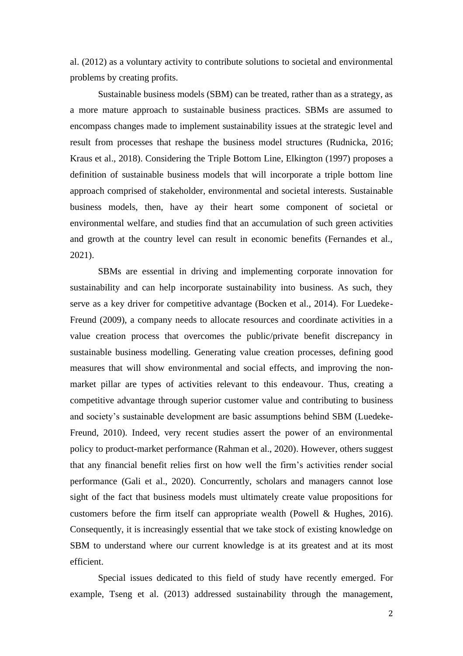al. (2012) as a voluntary activity to contribute solutions to societal and environmental problems by creating profits.

Sustainable business models (SBM) can be treated, rather than as a strategy, as a more mature approach to sustainable business practices. SBMs are assumed to encompass changes made to implement sustainability issues at the strategic level and result from processes that reshape the business model structures (Rudnicka, 2016; Kraus et al., 2018). Considering the Triple Bottom Line, Elkington (1997) proposes a definition of sustainable business models that will incorporate a triple bottom line approach comprised of stakeholder, environmental and societal interests. Sustainable business models, then, have ay their heart some component of societal or environmental welfare, and studies find that an accumulation of such green activities and growth at the country level can result in economic benefits (Fernandes et al., 2021).

SBMs are essential in driving and implementing corporate innovation for sustainability and can help incorporate sustainability into business. As such, they serve as a key driver for competitive advantage (Bocken et al., 2014). For Luedeke-Freund (2009), a company needs to allocate resources and coordinate activities in a value creation process that overcomes the public/private benefit discrepancy in sustainable business modelling. Generating value creation processes, defining good measures that will show environmental and social effects, and improving the nonmarket pillar are types of activities relevant to this endeavour. Thus, creating a competitive advantage through superior customer value and contributing to business and society's sustainable development are basic assumptions behind SBM (Luedeke-Freund, 2010). Indeed, very recent studies assert the power of an environmental policy to product-market performance (Rahman et al., 2020). However, others suggest that any financial benefit relies first on how well the firm's activities render social performance (Gali et al., 2020). Concurrently, scholars and managers cannot lose sight of the fact that business models must ultimately create value propositions for customers before the firm itself can appropriate wealth (Powell & Hughes, 2016). Consequently, it is increasingly essential that we take stock of existing knowledge on SBM to understand where our current knowledge is at its greatest and at its most efficient.

Special issues dedicated to this field of study have recently emerged. For example, Tseng et al. (2013) addressed sustainability through the management,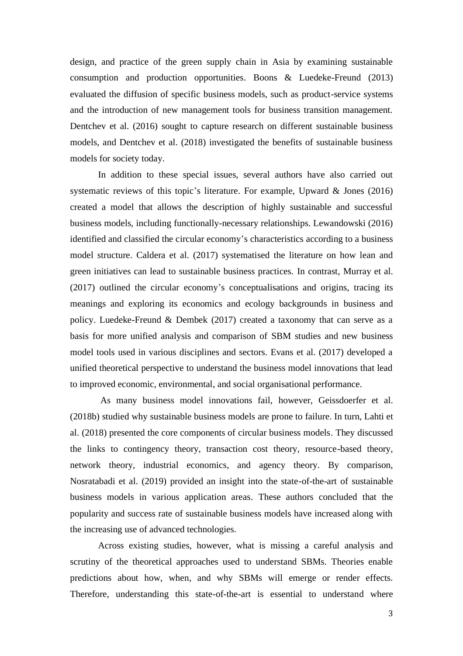design, and practice of the green supply chain in Asia by examining sustainable consumption and production opportunities. Boons & Luedeke-Freund (2013) evaluated the diffusion of specific business models, such as product-service systems and the introduction of new management tools for business transition management. Dentchev et al. (2016) sought to capture research on different sustainable business models, and Dentchev et al. (2018) investigated the benefits of sustainable business models for society today.

In addition to these special issues, several authors have also carried out systematic reviews of this topic's literature. For example, Upward & Jones (2016) created a model that allows the description of highly sustainable and successful business models, including functionally-necessary relationships. Lewandowski (2016) identified and classified the circular economy's characteristics according to a business model structure. Caldera et al. (2017) systematised the literature on how lean and green initiatives can lead to sustainable business practices. In contrast, Murray et al. (2017) outlined the circular economy's conceptualisations and origins, tracing its meanings and exploring its economics and ecology backgrounds in business and policy. Luedeke-Freund & Dembek (2017) created a taxonomy that can serve as a basis for more unified analysis and comparison of SBM studies and new business model tools used in various disciplines and sectors. Evans et al. (2017) developed a unified theoretical perspective to understand the business model innovations that lead to improved economic, environmental, and social organisational performance.

As many business model innovations fail, however, Geissdoerfer et al. (2018b) studied why sustainable business models are prone to failure. In turn, Lahti et al. (2018) presented the core components of circular business models. They discussed the links to contingency theory, transaction cost theory, resource-based theory, network theory, industrial economics, and agency theory. By comparison, Nosratabadi et al. (2019) provided an insight into the state-of-the-art of sustainable business models in various application areas. These authors concluded that the popularity and success rate of sustainable business models have increased along with the increasing use of advanced technologies.

Across existing studies, however, what is missing a careful analysis and scrutiny of the theoretical approaches used to understand SBMs. Theories enable predictions about how, when, and why SBMs will emerge or render effects. Therefore, understanding this state-of-the-art is essential to understand where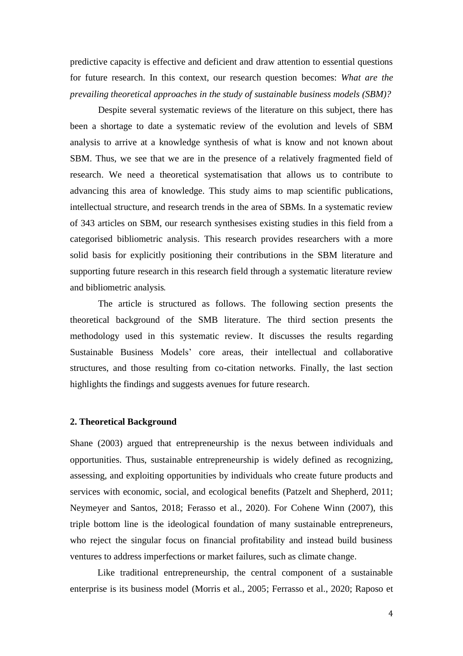predictive capacity is effective and deficient and draw attention to essential questions for future research. In this context, our research question becomes: *What are the prevailing theoretical approaches in the study of sustainable business models (SBM)?*

Despite several systematic reviews of the literature on this subject, there has been a shortage to date a systematic review of the evolution and levels of SBM analysis to arrive at a knowledge synthesis of what is know and not known about SBM. Thus, we see that we are in the presence of a relatively fragmented field of research. We need a theoretical systematisation that allows us to contribute to advancing this area of knowledge. This study aims to map scientific publications, intellectual structure, and research trends in the area of SBMs. In a systematic review of 343 articles on SBM, our research synthesises existing studies in this field from a categorised bibliometric analysis. This research provides researchers with a more solid basis for explicitly positioning their contributions in the SBM literature and supporting future research in this research field through a systematic literature review and bibliometric analysis.

The article is structured as follows. The following section presents the theoretical background of the SMB literature. The third section presents the methodology used in this systematic review. It discusses the results regarding Sustainable Business Models' core areas, their intellectual and collaborative structures, and those resulting from co-citation networks. Finally, the last section highlights the findings and suggests avenues for future research.

#### **2. Theoretical Background**

Shane (2003) argued that entrepreneurship is the nexus between individuals and opportunities. Thus, sustainable entrepreneurship is widely defined as recognizing, assessing, and exploiting opportunities by individuals who create future products and services with economic, social, and ecological benefits (Patzelt and Shepherd, 2011; Neymeyer and Santos, 2018; Ferasso et al., 2020). For Cohene Winn (2007), this triple bottom line is the ideological foundation of many sustainable entrepreneurs, who reject the singular focus on financial profitability and instead build business ventures to address imperfections or market failures, such as climate change.

Like traditional entrepreneurship, the central component of a sustainable enterprise is its business model (Morris et al., 2005; Ferrasso et al., 2020; Raposo et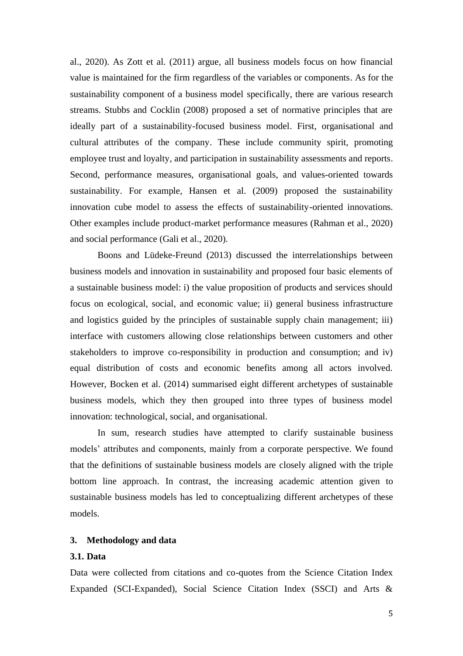al., 2020). As Zott et al. (2011) argue, all business models focus on how financial value is maintained for the firm regardless of the variables or components. As for the sustainability component of a business model specifically, there are various research streams. Stubbs and Cocklin (2008) proposed a set of normative principles that are ideally part of a sustainability-focused business model. First, organisational and cultural attributes of the company. These include community spirit, promoting employee trust and loyalty, and participation in sustainability assessments and reports. Second, performance measures, organisational goals, and values-oriented towards sustainability. For example, Hansen et al. (2009) proposed the sustainability innovation cube model to assess the effects of sustainability-oriented innovations. Other examples include product-market performance measures (Rahman et al., 2020) and social performance (Gali et al., 2020).

Boons and Lüdeke-Freund (2013) discussed the interrelationships between business models and innovation in sustainability and proposed four basic elements of a sustainable business model: i) the value proposition of products and services should focus on ecological, social, and economic value; ii) general business infrastructure and logistics guided by the principles of sustainable supply chain management; iii) interface with customers allowing close relationships between customers and other stakeholders to improve co-responsibility in production and consumption; and iv) equal distribution of costs and economic benefits among all actors involved. However, Bocken et al. (2014) summarised eight different archetypes of sustainable business models, which they then grouped into three types of business model innovation: technological, social, and organisational.

In sum, research studies have attempted to clarify sustainable business models' attributes and components, mainly from a corporate perspective. We found that the definitions of sustainable business models are closely aligned with the triple bottom line approach. In contrast, the increasing academic attention given to sustainable business models has led to conceptualizing different archetypes of these models.

#### **3. Methodology and data**

# **3.1. Data**

Data were collected from citations and co-quotes from the Science Citation Index Expanded (SCI-Expanded), Social Science Citation Index (SSCI) and Arts &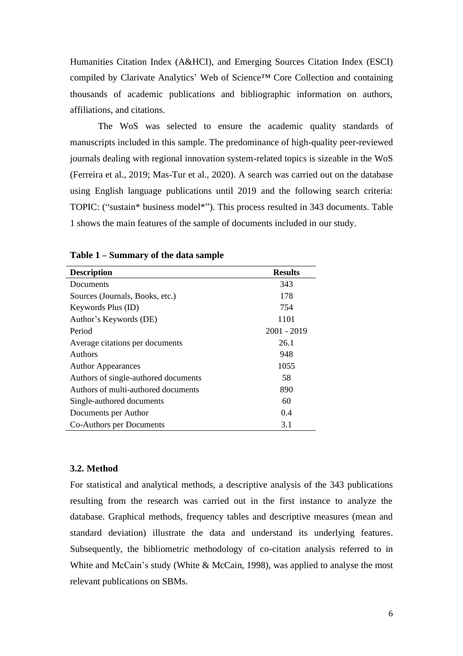Humanities Citation Index (A&HCI), and Emerging Sources Citation Index (ESCI) compiled by Clarivate Analytics' Web of Science™ Core Collection and containing thousands of academic publications and bibliographic information on authors, affiliations, and citations.

The WoS was selected to ensure the academic quality standards of manuscripts included in this sample. The predominance of high-quality peer-reviewed journals dealing with regional innovation system-related topics is sizeable in the WoS (Ferreira et al., 2019; Mas-Tur et al., 2020). A search was carried out on the database using English language publications until 2019 and the following search criteria: TOPIC: ("sustain\* business model\*"). This process resulted in 343 documents. Table 1 shows the main features of the sample of documents included in our study.

| <b>Description</b>                   | <b>Results</b> |
|--------------------------------------|----------------|
| Documents                            | 343            |
| Sources (Journals, Books, etc.)      | 178            |
| Keywords Plus (ID)                   | 754            |
| Author's Keywords (DE)               | 1101           |
| Period                               | $2001 - 2019$  |
| Average citations per documents      | 26.1           |
| Authors                              | 948            |
| <b>Author Appearances</b>            | 1055           |
| Authors of single-authored documents | 58             |
| Authors of multi-authored documents  | 890            |
| Single-authored documents            | 60             |
| Documents per Author                 | 0.4            |
| Co-Authors per Documents             | 3.1            |

**Table 1 – Summary of the data sample**

## **3.2. Method**

For statistical and analytical methods, a descriptive analysis of the 343 publications resulting from the research was carried out in the first instance to analyze the database. Graphical methods, frequency tables and descriptive measures (mean and standard deviation) illustrate the data and understand its underlying features. Subsequently, the bibliometric methodology of co-citation analysis referred to in White and McCain's study (White & McCain, 1998), was applied to analyse the most relevant publications on SBMs.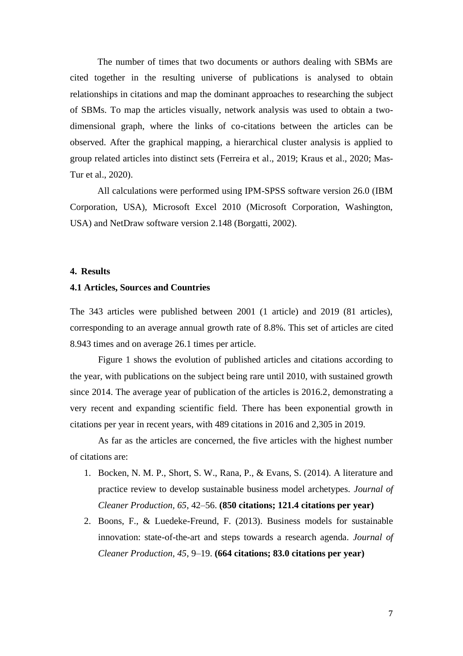The number of times that two documents or authors dealing with SBMs are cited together in the resulting universe of publications is analysed to obtain relationships in citations and map the dominant approaches to researching the subject of SBMs. To map the articles visually, network analysis was used to obtain a twodimensional graph, where the links of co-citations between the articles can be observed. After the graphical mapping, a hierarchical cluster analysis is applied to group related articles into distinct sets (Ferreira et al., 2019; Kraus et al., 2020; Mas-Tur et al., 2020).

All calculations were performed using IPM-SPSS software version 26.0 (IBM Corporation, USA), Microsoft Excel 2010 (Microsoft Corporation, Washington, USA) and NetDraw software version 2.148 (Borgatti, 2002).

#### **4. Results**

#### **4.1 Articles, Sources and Countries**

The 343 articles were published between 2001 (1 article) and 2019 (81 articles), corresponding to an average annual growth rate of 8.8%. This set of articles are cited 8.943 times and on average 26.1 times per article.

Figure 1 shows the evolution of published articles and citations according to the year, with publications on the subject being rare until 2010, with sustained growth since 2014. The average year of publication of the articles is 2016.2, demonstrating a very recent and expanding scientific field. There has been exponential growth in citations per year in recent years, with 489 citations in 2016 and 2,305 in 2019.

As far as the articles are concerned, the five articles with the highest number of citations are:

- 1. Bocken, N. M. P., Short, S. W., Rana, P., & Evans, S. (2014). A literature and practice review to develop sustainable business model archetypes. *Journal of Cleaner Production, 65*, 42–56. **(850 citations; 121.4 citations per year)**
- 2. Boons, F., & Luedeke-Freund, F. (2013). Business models for sustainable innovation: state-of-the-art and steps towards a research agenda. *Journal of Cleaner Production, 45*, 9–19. **(664 citations; 83.0 citations per year)**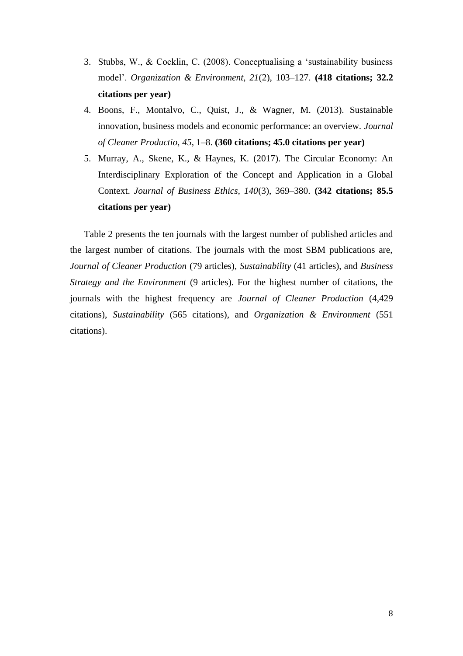- 3. Stubbs, W., & Cocklin, C. (2008). Conceptualising a 'sustainability business model'. *Organization & Environment, 21*(2), 103–127. **(418 citations; 32.2 citations per year)**
- 4. Boons, F., Montalvo, C., Quist, J., & Wagner, M. (2013). Sustainable innovation, business models and economic performance: an overview. *Journal of Cleaner Productio, 45*, 1–8. **(360 citations; 45.0 citations per year)**
- 5. Murray, A., Skene, K., & Haynes, K. (2017). The Circular Economy: An Interdisciplinary Exploration of the Concept and Application in a Global Context. *Journal of Business Ethics, 140*(3), 369–380. **(342 citations; 85.5 citations per year)**

Table 2 presents the ten journals with the largest number of published articles and the largest number of citations. The journals with the most SBM publications are, *Journal of Cleaner Production* (79 articles), *Sustainability* (41 articles), and *Business Strategy and the Environment* (9 articles). For the highest number of citations, the journals with the highest frequency are *Journal of Cleaner Production* (4,429 citations), *Sustainability* (565 citations), and *Organization & Environment* (551 citations).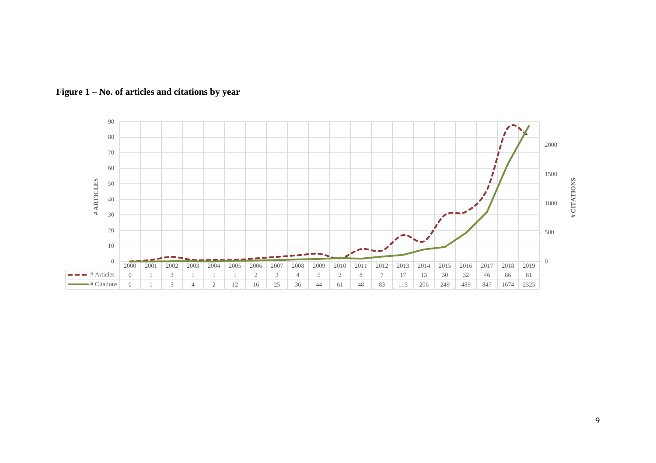

**Figure 1 – No. of articles and citations by year**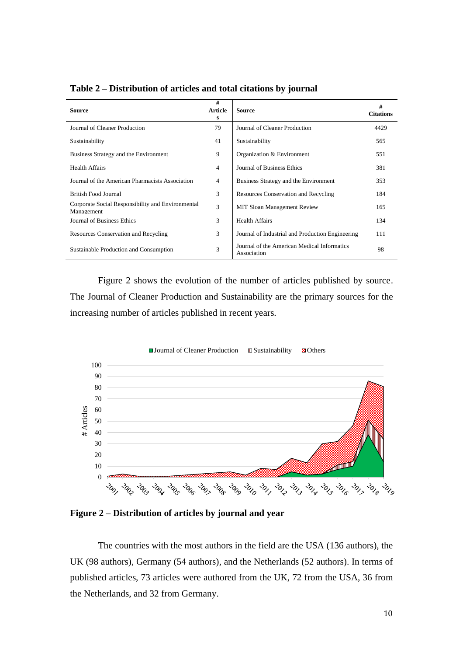| <b>Source</b>                                                   | #<br><b>Article</b><br>s | <b>Source</b>                                              | #<br><b>Citations</b> |
|-----------------------------------------------------------------|--------------------------|------------------------------------------------------------|-----------------------|
| Journal of Cleaner Production                                   | 79                       | Journal of Cleaner Production                              | 4429                  |
| Sustainability                                                  | 41                       | Sustainability                                             | 565                   |
| Business Strategy and the Environment                           | 9                        | Organization & Environment                                 | 551                   |
| <b>Health Affairs</b>                                           | 4                        | Journal of Business Ethics                                 | 381                   |
| Journal of the American Pharmacists Association                 | 4                        | Business Strategy and the Environment                      | 353                   |
| British Food Journal                                            | 3                        | <b>Resources Conservation and Recycling</b>                | 184                   |
| Corporate Social Responsibility and Environmental<br>Management | 3                        | <b>MIT Sloan Management Review</b>                         | 165                   |
| Journal of Business Ethics                                      | 3                        | <b>Health Affairs</b>                                      | 134                   |
| Resources Conservation and Recycling                            | 3                        | Journal of Industrial and Production Engineering           | 111                   |
| Sustainable Production and Consumption                          | 3                        | Journal of the American Medical Informatics<br>Association | 98                    |

**Table 2 – Distribution of articles and total citations by journal**

Figure 2 shows the evolution of the number of articles published by source. The Journal of Cleaner Production and Sustainability are the primary sources for the increasing number of articles published in recent years.



**Figure 2 – Distribution of articles by journal and year**

The countries with the most authors in the field are the USA (136 authors), the UK (98 authors), Germany (54 authors), and the Netherlands (52 authors). In terms of published articles, 73 articles were authored from the UK, 72 from the USA, 36 from the Netherlands, and 32 from Germany.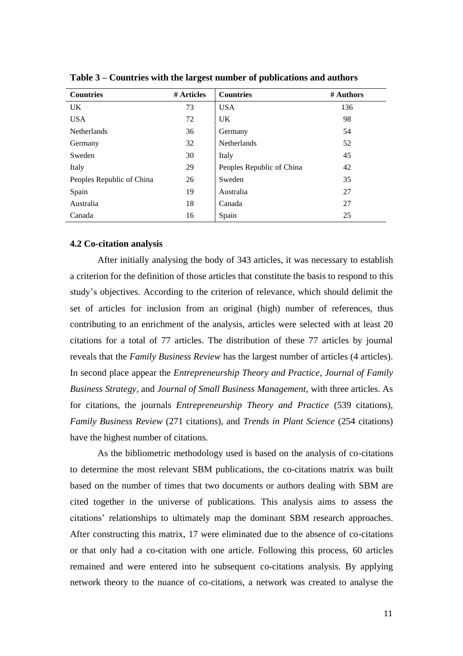| <b>Countries</b>          | # Articles | <b>Countries</b>          | # Authors |
|---------------------------|------------|---------------------------|-----------|
| UK                        | 73         | <b>USA</b>                | 136       |
| <b>USA</b>                | 72         | <b>UK</b>                 | 98        |
| Netherlands               | 36         | Germany                   | 54        |
| Germany                   | 32         | <b>Netherlands</b>        | 52        |
| Sweden                    | 30         | Italy                     | 45        |
| Italy                     | 29         | Peoples Republic of China | 42        |
| Peoples Republic of China | 26         | Sweden                    | 35        |
| Spain                     | 19         | Australia                 | 27        |
| Australia                 | 18         | Canada                    | 27        |
| Canada                    | 16         | Spain                     | 25        |

**Table 3 – Countries with the largest number of publications and authors**

## **4.2 Co-citation analysis**

After initially analysing the body of 343 articles, it was necessary to establish a criterion for the definition of those articles that constitute the basis to respond to this study's objectives. According to the criterion of relevance, which should delimit the set of articles for inclusion from an original (high) number of references, thus contributing to an enrichment of the analysis, articles were selected with at least 20 citations for a total of 77 articles. The distribution of these 77 articles by journal reveals that the *Family Business Review* has the largest number of articles (4 articles). In second place appear the *Entrepreneurship Theory and Practice*, *Journal of Family Business Strategy,* and *Journal of Small Business Management*, with three articles. As for citations, the journals *Entrepreneurship Theory and Practice* (539 citations), *Family Business Review* (271 citations), and *Trends in Plant Science* (254 citations) have the highest number of citations.

As the bibliometric methodology used is based on the analysis of co-citations to determine the most relevant SBM publications, the co-citations matrix was built based on the number of times that two documents or authors dealing with SBM are cited together in the universe of publications. This analysis aims to assess the citations' relationships to ultimately map the dominant SBM research approaches. After constructing this matrix, 17 were eliminated due to the absence of co-citations or that only had a co-citation with one article. Following this process, 60 articles remained and were entered into he subsequent co-citations analysis. By applying network theory to the nuance of co-citations, a network was created to analyse the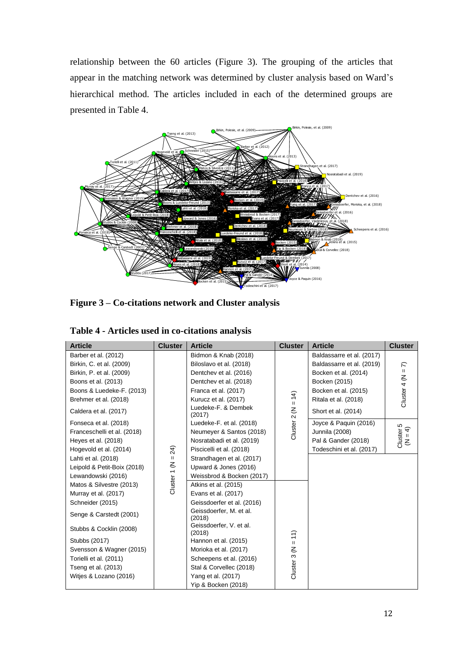relationship between the 60 articles (Figure 3). The grouping of the articles that appear in the matching network was determined by cluster analysis based on Ward's hierarchical method. The articles included in each of the determined groups are presented in Table 4.



**Figure 3 – Co-citations network and Cluster analysis** 

| <b>Article</b>              | <b>Cluster</b> | <b>Article</b>                    | <b>Cluster</b> | <b>Article</b>            | <b>Cluster</b>           |
|-----------------------------|----------------|-----------------------------------|----------------|---------------------------|--------------------------|
| Barber et al. (2012)        |                | Bidmon & Knab (2018)              |                | Baldassarre et al. (2017) |                          |
| Birkin, C. et al. (2009)    |                | Biloslavo et al. (2018)           |                | Baldassarre et al. (2019) | $\widehat{\kappa}$       |
| Birkin, P. et al. (2009)    |                | Dentchev et al. (2016)            |                | Bocken et al. (2014)      |                          |
| Boons et al. (2013)         |                | Dentchev et al. (2018)            |                | Bocken (2015)             |                          |
| Boons & Luedeke-F. (2013)   |                | Franca et al. (2017)              |                | Bocken et al. (2015)      |                          |
| Brehmer et al. (2018)       |                | Kurucz et al. (2017)              | $= 14$         | Ritala et al. (2018)      | Cluster 4 ( $N =$        |
| Caldera et al. (2017)       |                | Luedeke-F. & Dembek<br>(2017)     | Cluster 2 (N   | Short et al. (2014)       |                          |
| Fonseca et al. (2018)       |                | Luedeke-F. et al. (2018)          |                | Joyce & Paquin (2016)     |                          |
| Franceschelli et al. (2018) |                | Neumeyer & Santos (2018)          |                | Junnila (2008)            |                          |
| Heyes et al. (2018)         |                | Nosratabadi et al. (2019)         |                | Pal & Gander (2018)       | Cluster 5<br>( $N = 4$ ) |
| Hogevold et al. (2014)      | 24)            | Piscicelli et al. (2018)          |                | Todeschini et al. (2017)  |                          |
| Lahti et al. (2018)         | $\mathbf H$    | Strandhagen et al. (2017)         |                |                           |                          |
| Leipold & Petit-Boix (2018) |                | Upward & Jones (2016)             |                |                           |                          |
| Lewandowski (2016)          |                | Weissbrod & Bocken (2017)         |                |                           |                          |
| Matos & Silvestre (2013)    | Cluster 1 (N   | Atkins et al. (2015)              |                |                           |                          |
| Murray et al. (2017)        |                | Evans et al. (2017)               |                |                           |                          |
| Schneider (2015)            |                | Geissdoerfer et al. (2016)        |                |                           |                          |
| Senge & Carstedt (2001)     |                | Geissdoerfer, M. et al.<br>(2018) |                |                           |                          |
| Stubbs & Cocklin (2008)     |                | Geissdoerfer, V. et al.<br>(2018) |                |                           |                          |
| Stubbs (2017)               |                | Hannon et al. (2015)              | $= 11$         |                           |                          |
| Svensson & Wagner (2015)    |                | Morioka et al. (2017)             |                |                           |                          |
| Torielli et al. (2011)      |                | Scheepens et al. (2016)           | Cluster 3 (N   |                           |                          |
| Tseng et al. (2013)         |                | Stal & Corvellec (2018)           |                |                           |                          |
| Witjes & Lozano (2016)      |                | Yang et al. (2017)                |                |                           |                          |
|                             |                | Yip & Bocken (2018)               |                |                           |                          |

**Table 4 - Articles used in co-citations analysis**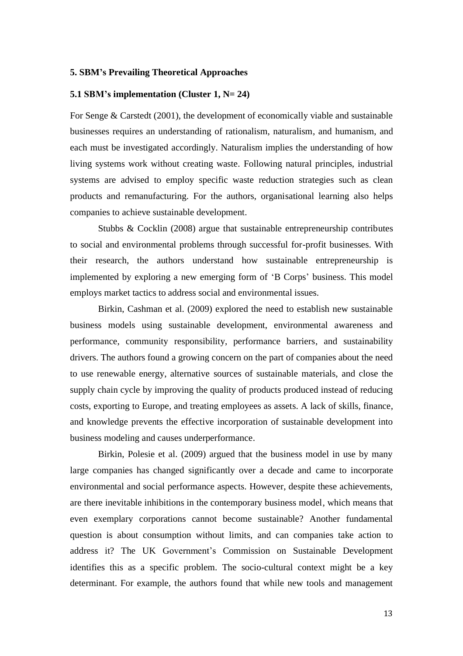#### **5. SBM's Prevailing Theoretical Approaches**

#### **5.1 SBM's implementation (Cluster 1, N= 24)**

For Senge & Carstedt (2001), the development of economically viable and sustainable businesses requires an understanding of rationalism, naturalism, and humanism, and each must be investigated accordingly. Naturalism implies the understanding of how living systems work without creating waste. Following natural principles, industrial systems are advised to employ specific waste reduction strategies such as clean products and remanufacturing. For the authors, organisational learning also helps companies to achieve sustainable development.

Stubbs & Cocklin (2008) argue that sustainable entrepreneurship contributes to social and environmental problems through successful for-profit businesses. With their research, the authors understand how sustainable entrepreneurship is implemented by exploring a new emerging form of 'B Corps' business. This model employs market tactics to address social and environmental issues.

Birkin, Cashman et al. (2009) explored the need to establish new sustainable business models using sustainable development, environmental awareness and performance, community responsibility, performance barriers, and sustainability drivers. The authors found a growing concern on the part of companies about the need to use renewable energy, alternative sources of sustainable materials, and close the supply chain cycle by improving the quality of products produced instead of reducing costs, exporting to Europe, and treating employees as assets. A lack of skills, finance, and knowledge prevents the effective incorporation of sustainable development into business modeling and causes underperformance.

Birkin, Polesie et al. (2009) argued that the business model in use by many large companies has changed significantly over a decade and came to incorporate environmental and social performance aspects. However, despite these achievements, are there inevitable inhibitions in the contemporary business model, which means that even exemplary corporations cannot become sustainable? Another fundamental question is about consumption without limits, and can companies take action to address it? The UK Government's Commission on Sustainable Development identifies this as a specific problem. The socio-cultural context might be a key determinant. For example, the authors found that while new tools and management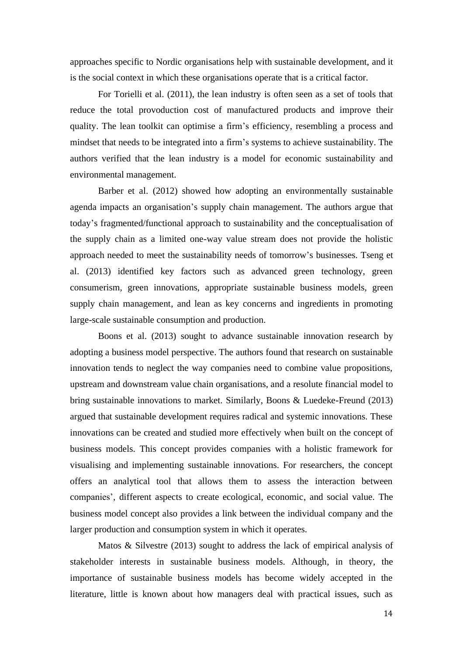approaches specific to Nordic organisations help with sustainable development, and it is the social context in which these organisations operate that is a critical factor.

For Torielli et al. (2011), the lean industry is often seen as a set of tools that reduce the total provoduction cost of manufactured products and improve their quality. The lean toolkit can optimise a firm's efficiency, resembling a process and mindset that needs to be integrated into a firm's systems to achieve sustainability. The authors verified that the lean industry is a model for economic sustainability and environmental management.

Barber et al. (2012) showed how adopting an environmentally sustainable agenda impacts an organisation's supply chain management. The authors argue that today's fragmented/functional approach to sustainability and the conceptualisation of the supply chain as a limited one-way value stream does not provide the holistic approach needed to meet the sustainability needs of tomorrow's businesses. Tseng et al. (2013) identified key factors such as advanced green technology, green consumerism, green innovations, appropriate sustainable business models, green supply chain management, and lean as key concerns and ingredients in promoting large-scale sustainable consumption and production.

Boons et al. (2013) sought to advance sustainable innovation research by adopting a business model perspective. The authors found that research on sustainable innovation tends to neglect the way companies need to combine value propositions, upstream and downstream value chain organisations, and a resolute financial model to bring sustainable innovations to market. Similarly, Boons & Luedeke-Freund (2013) argued that sustainable development requires radical and systemic innovations. These innovations can be created and studied more effectively when built on the concept of business models. This concept provides companies with a holistic framework for visualising and implementing sustainable innovations. For researchers, the concept offers an analytical tool that allows them to assess the interaction between companies', different aspects to create ecological, economic, and social value. The business model concept also provides a link between the individual company and the larger production and consumption system in which it operates.

Matos & Silvestre (2013) sought to address the lack of empirical analysis of stakeholder interests in sustainable business models. Although, in theory, the importance of sustainable business models has become widely accepted in the literature, little is known about how managers deal with practical issues, such as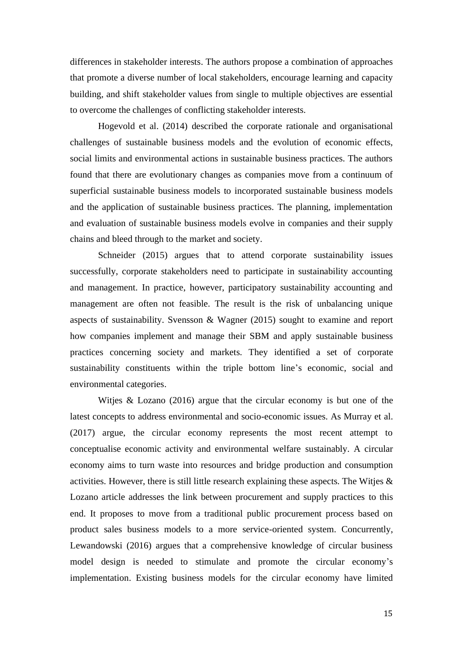differences in stakeholder interests. The authors propose a combination of approaches that promote a diverse number of local stakeholders, encourage learning and capacity building, and shift stakeholder values from single to multiple objectives are essential to overcome the challenges of conflicting stakeholder interests.

Hogevold et al. (2014) described the corporate rationale and organisational challenges of sustainable business models and the evolution of economic effects, social limits and environmental actions in sustainable business practices. The authors found that there are evolutionary changes as companies move from a continuum of superficial sustainable business models to incorporated sustainable business models and the application of sustainable business practices. The planning, implementation and evaluation of sustainable business models evolve in companies and their supply chains and bleed through to the market and society.

Schneider (2015) argues that to attend corporate sustainability issues successfully, corporate stakeholders need to participate in sustainability accounting and management. In practice, however, participatory sustainability accounting and management are often not feasible. The result is the risk of unbalancing unique aspects of sustainability. Svensson & Wagner (2015) sought to examine and report how companies implement and manage their SBM and apply sustainable business practices concerning society and markets. They identified a set of corporate sustainability constituents within the triple bottom line's economic, social and environmental categories.

Witjes & Lozano (2016) argue that the circular economy is but one of the latest concepts to address environmental and socio-economic issues. As Murray et al. (2017) argue, the circular economy represents the most recent attempt to conceptualise economic activity and environmental welfare sustainably. A circular economy aims to turn waste into resources and bridge production and consumption activities. However, there is still little research explaining these aspects. The Witjes & Lozano article addresses the link between procurement and supply practices to this end. It proposes to move from a traditional public procurement process based on product sales business models to a more service-oriented system. Concurrently, Lewandowski (2016) argues that a comprehensive knowledge of circular business model design is needed to stimulate and promote the circular economy's implementation. Existing business models for the circular economy have limited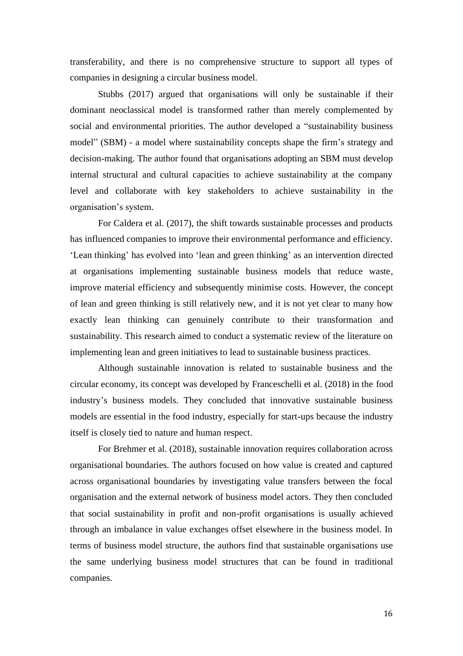transferability, and there is no comprehensive structure to support all types of companies in designing a circular business model.

Stubbs (2017) argued that organisations will only be sustainable if their dominant neoclassical model is transformed rather than merely complemented by social and environmental priorities. The author developed a "sustainability business model" (SBM) - a model where sustainability concepts shape the firm's strategy and decision-making. The author found that organisations adopting an SBM must develop internal structural and cultural capacities to achieve sustainability at the company level and collaborate with key stakeholders to achieve sustainability in the organisation's system.

For Caldera et al. (2017), the shift towards sustainable processes and products has influenced companies to improve their environmental performance and efficiency. 'Lean thinking' has evolved into 'lean and green thinking' as an intervention directed at organisations implementing sustainable business models that reduce waste, improve material efficiency and subsequently minimise costs. However, the concept of lean and green thinking is still relatively new, and it is not yet clear to many how exactly lean thinking can genuinely contribute to their transformation and sustainability. This research aimed to conduct a systematic review of the literature on implementing lean and green initiatives to lead to sustainable business practices.

Although sustainable innovation is related to sustainable business and the circular economy, its concept was developed by Franceschelli et al. (2018) in the food industry's business models. They concluded that innovative sustainable business models are essential in the food industry, especially for start-ups because the industry itself is closely tied to nature and human respect.

For Brehmer et al. (2018), sustainable innovation requires collaboration across organisational boundaries. The authors focused on how value is created and captured across organisational boundaries by investigating value transfers between the focal organisation and the external network of business model actors. They then concluded that social sustainability in profit and non-profit organisations is usually achieved through an imbalance in value exchanges offset elsewhere in the business model. In terms of business model structure, the authors find that sustainable organisations use the same underlying business model structures that can be found in traditional companies.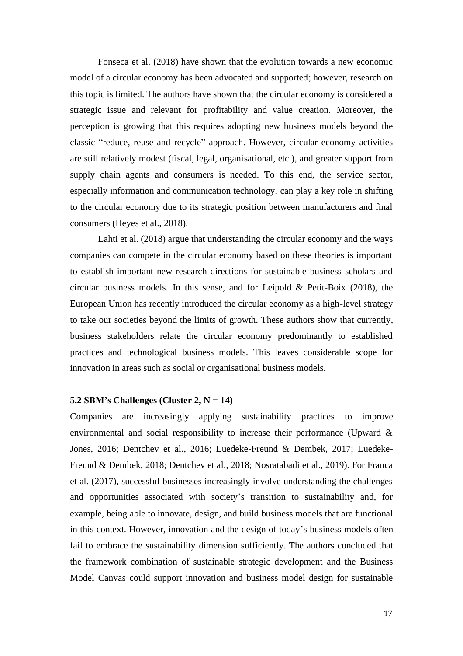Fonseca et al. (2018) have shown that the evolution towards a new economic model of a circular economy has been advocated and supported; however, research on this topic is limited. The authors have shown that the circular economy is considered a strategic issue and relevant for profitability and value creation. Moreover, the perception is growing that this requires adopting new business models beyond the classic "reduce, reuse and recycle" approach. However, circular economy activities are still relatively modest (fiscal, legal, organisational, etc.), and greater support from supply chain agents and consumers is needed. To this end, the service sector, especially information and communication technology, can play a key role in shifting to the circular economy due to its strategic position between manufacturers and final consumers (Heyes et al., 2018).

Lahti et al. (2018) argue that understanding the circular economy and the ways companies can compete in the circular economy based on these theories is important to establish important new research directions for sustainable business scholars and circular business models. In this sense, and for Leipold & Petit-Boix (2018), the European Union has recently introduced the circular economy as a high-level strategy to take our societies beyond the limits of growth. These authors show that currently, business stakeholders relate the circular economy predominantly to established practices and technological business models. This leaves considerable scope for innovation in areas such as social or organisational business models.

# **5.2 SBM's Challenges (Cluster 2, N = 14)**

Companies are increasingly applying sustainability practices to improve environmental and social responsibility to increase their performance (Upward & Jones, 2016; Dentchev et al., 2016; Luedeke-Freund & Dembek, 2017; Luedeke-Freund & Dembek, 2018; Dentchev et al., 2018; Nosratabadi et al., 2019). For Franca et al. (2017), successful businesses increasingly involve understanding the challenges and opportunities associated with society's transition to sustainability and, for example, being able to innovate, design, and build business models that are functional in this context. However, innovation and the design of today's business models often fail to embrace the sustainability dimension sufficiently. The authors concluded that the framework combination of sustainable strategic development and the Business Model Canvas could support innovation and business model design for sustainable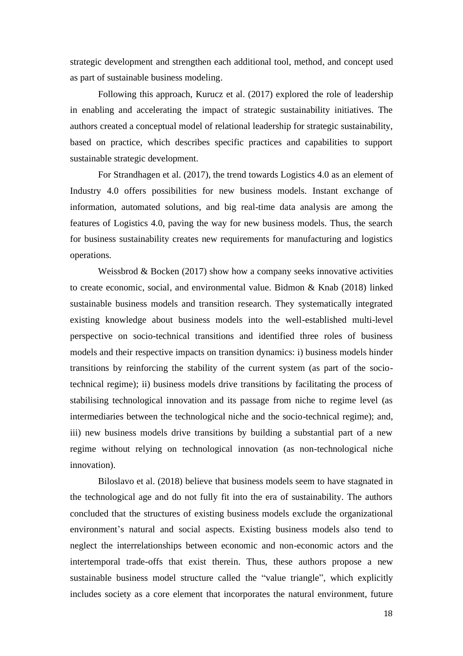strategic development and strengthen each additional tool, method, and concept used as part of sustainable business modeling.

Following this approach, Kurucz et al. (2017) explored the role of leadership in enabling and accelerating the impact of strategic sustainability initiatives. The authors created a conceptual model of relational leadership for strategic sustainability, based on practice, which describes specific practices and capabilities to support sustainable strategic development.

For Strandhagen et al. (2017), the trend towards Logistics 4.0 as an element of Industry 4.0 offers possibilities for new business models. Instant exchange of information, automated solutions, and big real-time data analysis are among the features of Logistics 4.0, paving the way for new business models. Thus, the search for business sustainability creates new requirements for manufacturing and logistics operations.

Weissbrod  $& Bocken (2017)$  show how a company seeks innovative activities to create economic, social, and environmental value. Bidmon & Knab (2018) linked sustainable business models and transition research. They systematically integrated existing knowledge about business models into the well-established multi-level perspective on socio-technical transitions and identified three roles of business models and their respective impacts on transition dynamics: i) business models hinder transitions by reinforcing the stability of the current system (as part of the sociotechnical regime); ii) business models drive transitions by facilitating the process of stabilising technological innovation and its passage from niche to regime level (as intermediaries between the technological niche and the socio-technical regime); and, iii) new business models drive transitions by building a substantial part of a new regime without relying on technological innovation (as non-technological niche innovation).

Biloslavo et al. (2018) believe that business models seem to have stagnated in the technological age and do not fully fit into the era of sustainability. The authors concluded that the structures of existing business models exclude the organizational environment's natural and social aspects. Existing business models also tend to neglect the interrelationships between economic and non-economic actors and the intertemporal trade-offs that exist therein. Thus, these authors propose a new sustainable business model structure called the "value triangle", which explicitly includes society as a core element that incorporates the natural environment, future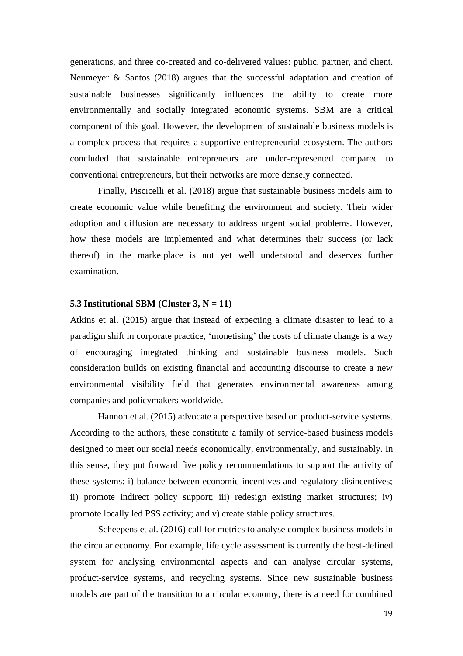generations, and three co-created and co-delivered values: public, partner, and client. Neumeyer & Santos (2018) argues that the successful adaptation and creation of sustainable businesses significantly influences the ability to create more environmentally and socially integrated economic systems. SBM are a critical component of this goal. However, the development of sustainable business models is a complex process that requires a supportive entrepreneurial ecosystem. The authors concluded that sustainable entrepreneurs are under-represented compared to conventional entrepreneurs, but their networks are more densely connected.

Finally, Piscicelli et al. (2018) argue that sustainable business models aim to create economic value while benefiting the environment and society. Their wider adoption and diffusion are necessary to address urgent social problems. However, how these models are implemented and what determines their success (or lack thereof) in the marketplace is not yet well understood and deserves further examination.

#### **5.3** Institutional SBM (Cluster  $3, N = 11$ )

Atkins et al. (2015) argue that instead of expecting a climate disaster to lead to a paradigm shift in corporate practice, 'monetising' the costs of climate change is a way of encouraging integrated thinking and sustainable business models. Such consideration builds on existing financial and accounting discourse to create a new environmental visibility field that generates environmental awareness among companies and policymakers worldwide.

Hannon et al. (2015) advocate a perspective based on product-service systems. According to the authors, these constitute a family of service-based business models designed to meet our social needs economically, environmentally, and sustainably. In this sense, they put forward five policy recommendations to support the activity of these systems: i) balance between economic incentives and regulatory disincentives; ii) promote indirect policy support; iii) redesign existing market structures; iv) promote locally led PSS activity; and v) create stable policy structures.

Scheepens et al. (2016) call for metrics to analyse complex business models in the circular economy. For example, life cycle assessment is currently the best-defined system for analysing environmental aspects and can analyse circular systems, product-service systems, and recycling systems. Since new sustainable business models are part of the transition to a circular economy, there is a need for combined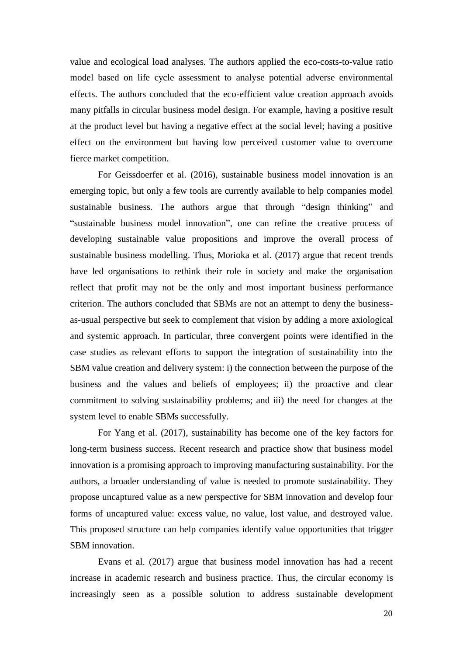value and ecological load analyses. The authors applied the eco-costs-to-value ratio model based on life cycle assessment to analyse potential adverse environmental effects. The authors concluded that the eco-efficient value creation approach avoids many pitfalls in circular business model design. For example, having a positive result at the product level but having a negative effect at the social level; having a positive effect on the environment but having low perceived customer value to overcome fierce market competition.

For Geissdoerfer et al. (2016), sustainable business model innovation is an emerging topic, but only a few tools are currently available to help companies model sustainable business. The authors argue that through "design thinking" and "sustainable business model innovation", one can refine the creative process of developing sustainable value propositions and improve the overall process of sustainable business modelling. Thus, Morioka et al. (2017) argue that recent trends have led organisations to rethink their role in society and make the organisation reflect that profit may not be the only and most important business performance criterion. The authors concluded that SBMs are not an attempt to deny the businessas-usual perspective but seek to complement that vision by adding a more axiological and systemic approach. In particular, three convergent points were identified in the case studies as relevant efforts to support the integration of sustainability into the SBM value creation and delivery system: i) the connection between the purpose of the business and the values and beliefs of employees; ii) the proactive and clear commitment to solving sustainability problems; and iii) the need for changes at the system level to enable SBMs successfully.

For Yang et al. (2017), sustainability has become one of the key factors for long-term business success. Recent research and practice show that business model innovation is a promising approach to improving manufacturing sustainability. For the authors, a broader understanding of value is needed to promote sustainability. They propose uncaptured value as a new perspective for SBM innovation and develop four forms of uncaptured value: excess value, no value, lost value, and destroyed value. This proposed structure can help companies identify value opportunities that trigger SBM innovation.

Evans et al. (2017) argue that business model innovation has had a recent increase in academic research and business practice. Thus, the circular economy is increasingly seen as a possible solution to address sustainable development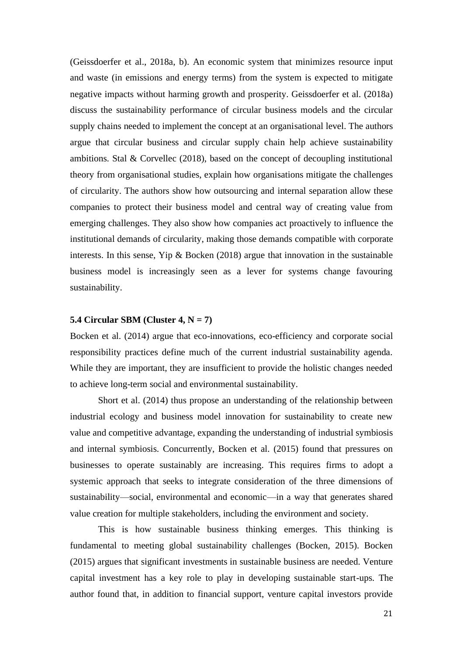(Geissdoerfer et al., 2018a, b). An economic system that minimizes resource input and waste (in emissions and energy terms) from the system is expected to mitigate negative impacts without harming growth and prosperity. Geissdoerfer et al. (2018a) discuss the sustainability performance of circular business models and the circular supply chains needed to implement the concept at an organisational level. The authors argue that circular business and circular supply chain help achieve sustainability ambitions. Stal & Corvellec (2018), based on the concept of decoupling institutional theory from organisational studies, explain how organisations mitigate the challenges of circularity. The authors show how outsourcing and internal separation allow these companies to protect their business model and central way of creating value from emerging challenges. They also show how companies act proactively to influence the institutional demands of circularity, making those demands compatible with corporate interests. In this sense, Yip & Bocken (2018) argue that innovation in the sustainable business model is increasingly seen as a lever for systems change favouring sustainability.

# **5.4 Circular SBM (Cluster 4, N = 7)**

Bocken et al. (2014) argue that eco-innovations, eco-efficiency and corporate social responsibility practices define much of the current industrial sustainability agenda. While they are important, they are insufficient to provide the holistic changes needed to achieve long-term social and environmental sustainability.

Short et al. (2014) thus propose an understanding of the relationship between industrial ecology and business model innovation for sustainability to create new value and competitive advantage, expanding the understanding of industrial symbiosis and internal symbiosis. Concurrently, Bocken et al. (2015) found that pressures on businesses to operate sustainably are increasing. This requires firms to adopt a systemic approach that seeks to integrate consideration of the three dimensions of sustainability—social, environmental and economic—in a way that generates shared value creation for multiple stakeholders, including the environment and society.

This is how sustainable business thinking emerges. This thinking is fundamental to meeting global sustainability challenges (Bocken, 2015). Bocken (2015) argues that significant investments in sustainable business are needed. Venture capital investment has a key role to play in developing sustainable start-ups. The author found that, in addition to financial support, venture capital investors provide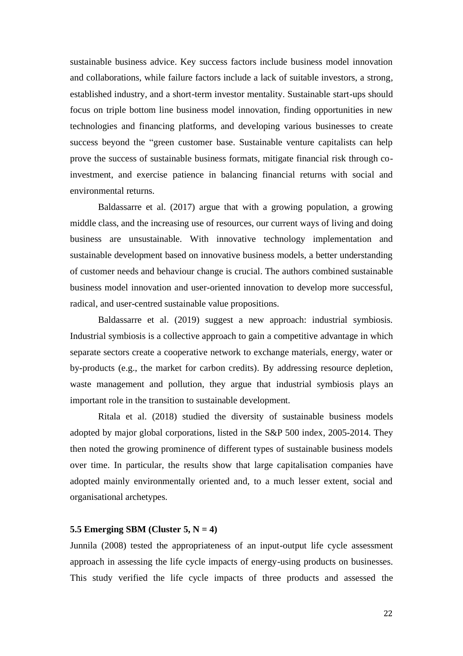sustainable business advice. Key success factors include business model innovation and collaborations, while failure factors include a lack of suitable investors, a strong, established industry, and a short-term investor mentality. Sustainable start-ups should focus on triple bottom line business model innovation, finding opportunities in new technologies and financing platforms, and developing various businesses to create success beyond the "green customer base. Sustainable venture capitalists can help prove the success of sustainable business formats, mitigate financial risk through coinvestment, and exercise patience in balancing financial returns with social and environmental returns.

Baldassarre et al. (2017) argue that with a growing population, a growing middle class, and the increasing use of resources, our current ways of living and doing business are unsustainable. With innovative technology implementation and sustainable development based on innovative business models, a better understanding of customer needs and behaviour change is crucial. The authors combined sustainable business model innovation and user-oriented innovation to develop more successful, radical, and user-centred sustainable value propositions.

Baldassarre et al. (2019) suggest a new approach: industrial symbiosis. Industrial symbiosis is a collective approach to gain a competitive advantage in which separate sectors create a cooperative network to exchange materials, energy, water or by-products (e.g., the market for carbon credits). By addressing resource depletion, waste management and pollution, they argue that industrial symbiosis plays an important role in the transition to sustainable development.

Ritala et al. (2018) studied the diversity of sustainable business models adopted by major global corporations, listed in the S&P 500 index, 2005-2014. They then noted the growing prominence of different types of sustainable business models over time. In particular, the results show that large capitalisation companies have adopted mainly environmentally oriented and, to a much lesser extent, social and organisational archetypes.

# **5.5 Emerging SBM (Cluster 5, N = 4)**

Junnila (2008) tested the appropriateness of an input-output life cycle assessment approach in assessing the life cycle impacts of energy-using products on businesses. This study verified the life cycle impacts of three products and assessed the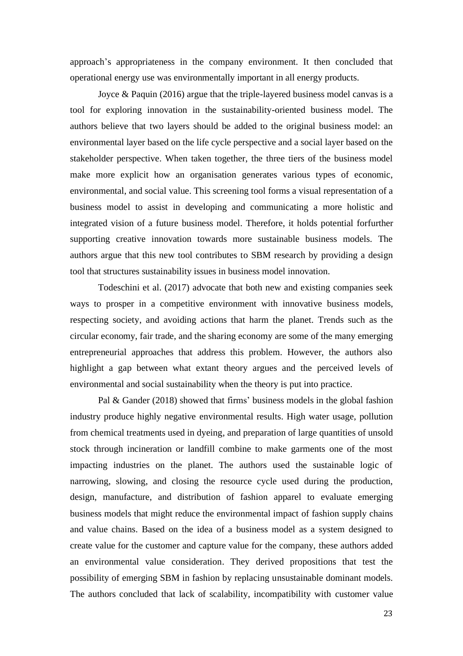approach's appropriateness in the company environment. It then concluded that operational energy use was environmentally important in all energy products.

Joyce & Paquin (2016) argue that the triple-layered business model canvas is a tool for exploring innovation in the sustainability-oriented business model. The authors believe that two layers should be added to the original business model: an environmental layer based on the life cycle perspective and a social layer based on the stakeholder perspective. When taken together, the three tiers of the business model make more explicit how an organisation generates various types of economic, environmental, and social value. This screening tool forms a visual representation of a business model to assist in developing and communicating a more holistic and integrated vision of a future business model. Therefore, it holds potential forfurther supporting creative innovation towards more sustainable business models. The authors argue that this new tool contributes to SBM research by providing a design tool that structures sustainability issues in business model innovation.

Todeschini et al. (2017) advocate that both new and existing companies seek ways to prosper in a competitive environment with innovative business models, respecting society, and avoiding actions that harm the planet. Trends such as the circular economy, fair trade, and the sharing economy are some of the many emerging entrepreneurial approaches that address this problem. However, the authors also highlight a gap between what extant theory argues and the perceived levels of environmental and social sustainability when the theory is put into practice.

Pal & Gander (2018) showed that firms' business models in the global fashion industry produce highly negative environmental results. High water usage, pollution from chemical treatments used in dyeing, and preparation of large quantities of unsold stock through incineration or landfill combine to make garments one of the most impacting industries on the planet. The authors used the sustainable logic of narrowing, slowing, and closing the resource cycle used during the production, design, manufacture, and distribution of fashion apparel to evaluate emerging business models that might reduce the environmental impact of fashion supply chains and value chains. Based on the idea of a business model as a system designed to create value for the customer and capture value for the company, these authors added an environmental value consideration. They derived propositions that test the possibility of emerging SBM in fashion by replacing unsustainable dominant models. The authors concluded that lack of scalability, incompatibility with customer value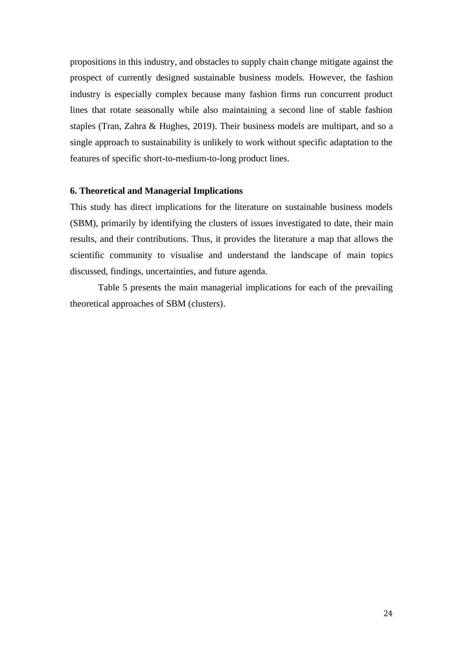propositions in this industry, and obstacles to supply chain change mitigate against the prospect of currently designed sustainable business models. However, the fashion industry is especially complex because many fashion firms run concurrent product lines that rotate seasonally while also maintaining a second line of stable fashion staples (Tran, Zahra & Hughes, 2019). Their business models are multipart, and so a single approach to sustainability is unlikely to work without specific adaptation to the features of specific short-to-medium-to-long product lines.

#### **6. Theoretical and Managerial Implications**

This study has direct implications for the literature on sustainable business models (SBM), primarily by identifying the clusters of issues investigated to date, their main results, and their contributions. Thus, it provides the literature a map that allows the scientific community to visualise and understand the landscape of main topics discussed, findings, uncertainties, and future agenda.

Table 5 presents the main managerial implications for each of the prevailing theoretical approaches of SBM (clusters).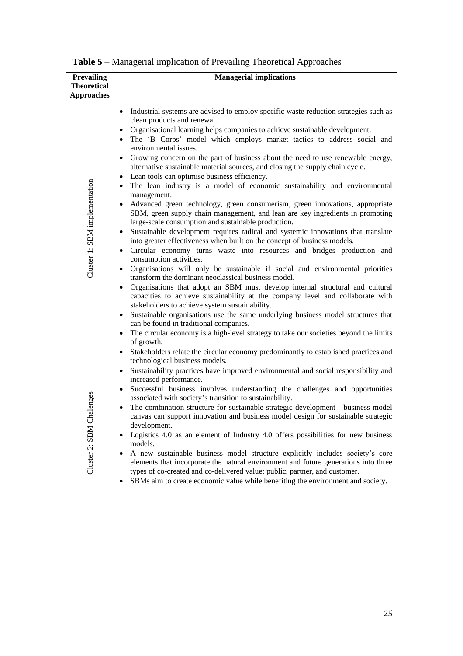| <b>Prevailing</b>             | <b>Managerial implications</b>                                                                                                                                                                                                                                                                                                                                                                                                                                                                                                                                                                                                                                                                                                                                                                                                                                                                                                                                                                                                                                                                                                                                                                                                                                                                                                                                                                                                                                                                                                                                                                                                                                                                                                                                                                                                                                                                                                                                                                                                      |  |  |  |  |
|-------------------------------|-------------------------------------------------------------------------------------------------------------------------------------------------------------------------------------------------------------------------------------------------------------------------------------------------------------------------------------------------------------------------------------------------------------------------------------------------------------------------------------------------------------------------------------------------------------------------------------------------------------------------------------------------------------------------------------------------------------------------------------------------------------------------------------------------------------------------------------------------------------------------------------------------------------------------------------------------------------------------------------------------------------------------------------------------------------------------------------------------------------------------------------------------------------------------------------------------------------------------------------------------------------------------------------------------------------------------------------------------------------------------------------------------------------------------------------------------------------------------------------------------------------------------------------------------------------------------------------------------------------------------------------------------------------------------------------------------------------------------------------------------------------------------------------------------------------------------------------------------------------------------------------------------------------------------------------------------------------------------------------------------------------------------------------|--|--|--|--|
| <b>Theoretical</b>            |                                                                                                                                                                                                                                                                                                                                                                                                                                                                                                                                                                                                                                                                                                                                                                                                                                                                                                                                                                                                                                                                                                                                                                                                                                                                                                                                                                                                                                                                                                                                                                                                                                                                                                                                                                                                                                                                                                                                                                                                                                     |  |  |  |  |
| <b>Approaches</b>             |                                                                                                                                                                                                                                                                                                                                                                                                                                                                                                                                                                                                                                                                                                                                                                                                                                                                                                                                                                                                                                                                                                                                                                                                                                                                                                                                                                                                                                                                                                                                                                                                                                                                                                                                                                                                                                                                                                                                                                                                                                     |  |  |  |  |
| Cluster 1: SBM implementation | Industrial systems are advised to employ specific waste reduction strategies such as<br>$\bullet$<br>clean products and renewal.<br>Organisational learning helps companies to achieve sustainable development.<br>$\bullet$<br>The 'B Corps' model which employs market tactics to address social and<br>$\bullet$<br>environmental issues.<br>Growing concern on the part of business about the need to use renewable energy,<br>$\bullet$<br>alternative sustainable material sources, and closing the supply chain cycle.<br>Lean tools can optimise business efficiency.<br>$\bullet$<br>The lean industry is a model of economic sustainability and environmental<br>$\bullet$<br>management.<br>Advanced green technology, green consumerism, green innovations, appropriate<br>$\bullet$<br>SBM, green supply chain management, and lean are key ingredients in promoting<br>large-scale consumption and sustainable production.<br>Sustainable development requires radical and systemic innovations that translate<br>$\bullet$<br>into greater effectiveness when built on the concept of business models.<br>Circular economy turns waste into resources and bridges production and<br>$\bullet$<br>consumption activities.<br>Organisations will only be sustainable if social and environmental priorities<br>$\bullet$<br>transform the dominant neoclassical business model.<br>Organisations that adopt an SBM must develop internal structural and cultural<br>$\bullet$<br>capacities to achieve sustainability at the company level and collaborate with<br>stakeholders to achieve system sustainability.<br>Sustainable organisations use the same underlying business model structures that<br>$\bullet$<br>can be found in traditional companies.<br>The circular economy is a high-level strategy to take our societies beyond the limits<br>$\bullet$<br>of growth.<br>Stakeholders relate the circular economy predominantly to established practices and<br>$\bullet$<br>technological business models. |  |  |  |  |
| alenges<br>Cluster 2: SBM Ch  | Sustainability practices have improved environmental and social responsibility and<br>$\bullet$<br>increased performance.<br>Successful business involves understanding the challenges and opportunities<br>$\bullet$<br>associated with society's transition to sustainability.<br>The combination structure for sustainable strategic development - business model<br>$\bullet$<br>canvas can support innovation and business model design for sustainable strategic<br>development.<br>Logistics 4.0 as an element of Industry 4.0 offers possibilities for new business<br>$\bullet$<br>models.<br>A new sustainable business model structure explicitly includes society's core<br>elements that incorporate the natural environment and future generations into three<br>types of co-created and co-delivered value: public, partner, and customer.<br>SBMs aim to create economic value while benefiting the environment and society.<br>٠                                                                                                                                                                                                                                                                                                                                                                                                                                                                                                                                                                                                                                                                                                                                                                                                                                                                                                                                                                                                                                                                                   |  |  |  |  |

**Table 5** – Managerial implication of Prevailing Theoretical Approaches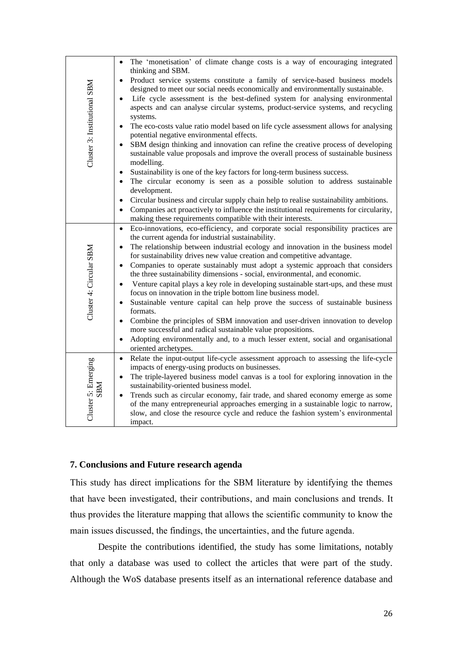| Cluster 3: Institutional SBM      | The 'monetisation' of climate change costs is a way of encouraging integrated<br>$\bullet$<br>thinking and SBM.<br>Product service systems constitute a family of service-based business models<br>$\bullet$<br>designed to meet our social needs economically and environmentally sustainable.<br>Life cycle assessment is the best-defined system for analysing environmental<br>$\bullet$<br>aspects and can analyse circular systems, product-service systems, and recycling<br>systems.<br>The eco-costs value ratio model based on life cycle assessment allows for analysing<br>$\bullet$<br>potential negative environmental effects.<br>SBM design thinking and innovation can refine the creative process of developing<br>$\bullet$<br>sustainable value proposals and improve the overall process of sustainable business<br>modelling.                                                                                                                                                                                                                                                                                                 |
|-----------------------------------|-----------------------------------------------------------------------------------------------------------------------------------------------------------------------------------------------------------------------------------------------------------------------------------------------------------------------------------------------------------------------------------------------------------------------------------------------------------------------------------------------------------------------------------------------------------------------------------------------------------------------------------------------------------------------------------------------------------------------------------------------------------------------------------------------------------------------------------------------------------------------------------------------------------------------------------------------------------------------------------------------------------------------------------------------------------------------------------------------------------------------------------------------------|
|                                   | Sustainability is one of the key factors for long-term business success.<br>$\bullet$<br>The circular economy is seen as a possible solution to address sustainable<br>$\bullet$<br>development.<br>Circular business and circular supply chain help to realise sustainability ambitions.<br>$\bullet$<br>Companies act proactively to influence the institutional requirements for circularity,<br>$\bullet$                                                                                                                                                                                                                                                                                                                                                                                                                                                                                                                                                                                                                                                                                                                                       |
| Cluster 4: Circular SBM           | making these requirements compatible with their interests.<br>Eco-innovations, eco-efficiency, and corporate social responsibility practices are<br>$\bullet$<br>the current agenda for industrial sustainability.<br>The relationship between industrial ecology and innovation in the business model<br>$\bullet$<br>for sustainability drives new value creation and competitive advantage.<br>Companies to operate sustainably must adopt a systemic approach that considers<br>$\bullet$<br>the three sustainability dimensions - social, environmental, and economic.<br>Venture capital plays a key role in developing sustainable start-ups, and these must<br>$\bullet$<br>focus on innovation in the triple bottom line business model.<br>Sustainable venture capital can help prove the success of sustainable business<br>$\bullet$<br>formats.<br>Combine the principles of SBM innovation and user-driven innovation to develop<br>$\bullet$<br>more successful and radical sustainable value propositions.<br>Adopting environmentally and, to a much lesser extent, social and organisational<br>$\bullet$<br>oriented archetypes. |
| Cluster 5: Emerging<br><b>NBR</b> | Relate the input-output life-cycle assessment approach to assessing the life-cycle<br>$\bullet$<br>impacts of energy-using products on businesses.<br>The triple-layered business model canvas is a tool for exploring innovation in the<br>$\bullet$<br>sustainability-oriented business model.<br>Trends such as circular economy, fair trade, and shared economy emerge as some<br>$\bullet$<br>of the many entrepreneurial approaches emerging in a sustainable logic to narrow,<br>slow, and close the resource cycle and reduce the fashion system's environmental<br>impact.                                                                                                                                                                                                                                                                                                                                                                                                                                                                                                                                                                 |

# **7. Conclusions and Future research agenda**

This study has direct implications for the SBM literature by identifying the themes that have been investigated, their contributions, and main conclusions and trends. It thus provides the literature mapping that allows the scientific community to know the main issues discussed, the findings, the uncertainties, and the future agenda.

Despite the contributions identified, the study has some limitations, notably that only a database was used to collect the articles that were part of the study. Although the WoS database presents itself as an international reference database and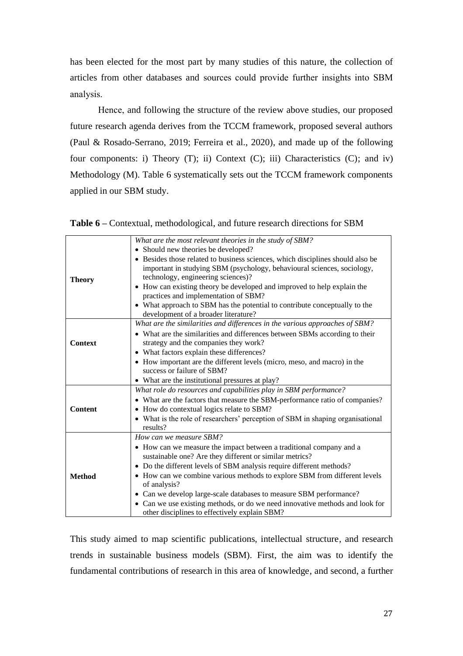has been elected for the most part by many studies of this nature, the collection of articles from other databases and sources could provide further insights into SBM analysis.

Hence, and following the structure of the review above studies, our proposed future research agenda derives from the TCCM framework, proposed several authors (Paul & Rosado-Serrano, 2019; Ferreira et al., 2020), and made up of the following four components: i) Theory  $(T)$ ; ii) Context  $(C)$ ; iii) Characteristics  $(C)$ ; and iv) Methodology (M). Table 6 systematically sets out the TCCM framework components applied in our SBM study.

|  | <b>Table 6</b> – Contextual, methodological, and future research directions for SBM |  |  |  |
|--|-------------------------------------------------------------------------------------|--|--|--|
|  |                                                                                     |  |  |  |

|                | What are the most relevant theories in the study of SBM?                       |
|----------------|--------------------------------------------------------------------------------|
|                | • Should new theories be developed?                                            |
|                | • Besides those related to business sciences, which disciplines should also be |
|                | important in studying SBM (psychology, behavioural sciences, sociology,        |
| <b>Theory</b>  | technology, engineering sciences)?                                             |
|                | • How can existing theory be developed and improved to help explain the        |
|                | practices and implementation of SBM?                                           |
|                | • What approach to SBM has the potential to contribute conceptually to the     |
|                | development of a broader literature?                                           |
|                | What are the similarities and differences in the various approaches of SBM?    |
|                | • What are the similarities and differences between SBMs according to their    |
| <b>Context</b> | strategy and the companies they work?                                          |
|                | • What factors explain these differences?                                      |
|                | • How important are the different levels (micro, meso, and macro) in the       |
|                | success or failure of SBM?                                                     |
|                | • What are the institutional pressures at play?                                |
|                | What role do resources and capabilities play in SBM performance?               |
|                | • What are the factors that measure the SBM-performance ratio of companies?    |
| <b>Content</b> | • How do contextual logics relate to SBM?                                      |
|                | • What is the role of researchers' perception of SBM in shaping organisational |
|                | results?                                                                       |
|                | How can we measure SBM?                                                        |
|                | • How can we measure the impact between a traditional company and a            |
|                | sustainable one? Are they different or similar metrics?                        |
|                | • Do the different levels of SBM analysis require different methods?           |
| <b>Method</b>  | • How can we combine various methods to explore SBM from different levels      |
|                | of analysis?                                                                   |
|                | • Can we develop large-scale databases to measure SBM performance?             |
|                | • Can we use existing methods, or do we need innovative methods and look for   |
|                | other disciplines to effectively explain SBM?                                  |

This study aimed to map scientific publications, intellectual structure, and research trends in sustainable business models (SBM). First, the aim was to identify the fundamental contributions of research in this area of knowledge, and second, a further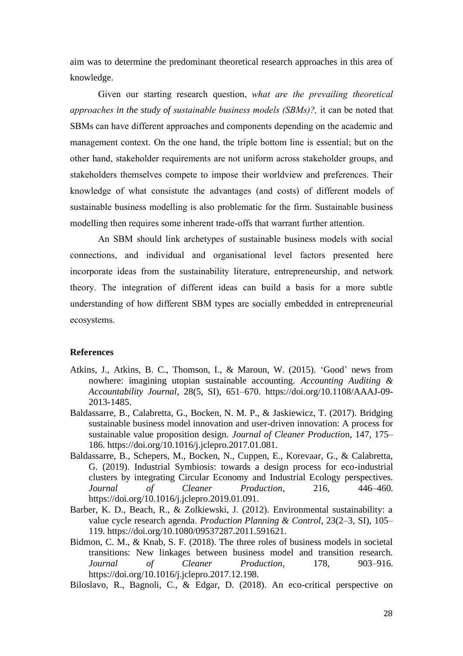aim was to determine the predominant theoretical research approaches in this area of knowledge.

Given our starting research question, *what are the prevailing theoretical approaches in the study of sustainable business models (SBMs)?,* it can be noted that SBMs can have different approaches and components depending on the academic and management context. On the one hand, the triple bottom line is essential; but on the other hand, stakeholder requirements are not uniform across stakeholder groups, and stakeholders themselves compete to impose their worldview and preferences. Their knowledge of what consistute the advantages (and costs) of different models of sustainable business modelling is also problematic for the firm. Sustainable business modelling then requires some inherent trade-offs that warrant further attention.

An SBM should link archetypes of sustainable business models with social connections, and individual and organisational level factors presented here incorporate ideas from the sustainability literature, entrepreneurship, and network theory. The integration of different ideas can build a basis for a more subtle understanding of how different SBM types are socially embedded in entrepreneurial ecosystems.

#### **References**

- Atkins, J., Atkins, B. C., Thomson, I., & Maroun, W. (2015). 'Good' news from nowhere: imagining utopian sustainable accounting. *Accounting Auditing & Accountability Journal*, 28(5, SI), 651–670. https://doi.org/10.1108/AAAJ-09- 2013-1485.
- Baldassarre, B., Calabretta, G., Bocken, N. M. P., & Jaskiewicz, T. (2017). Bridging sustainable business model innovation and user-driven innovation: A process for sustainable value proposition design. *Journal of Cleaner Productio*n, 147, 175– 186. https://doi.org/10.1016/j.jclepro.2017.01.081.
- Baldassarre, B., Schepers, M., Bocken, N., Cuppen, E., Korevaar, G., & Calabretta, G. (2019). Industrial Symbiosis: towards a design process for eco-industrial clusters by integrating Circular Economy and Industrial Ecology perspectives. *Journal of Cleaner Production*, 216, 446–460. https://doi.org/10.1016/j.jclepro.2019.01.091.
- Barber, K. D., Beach, R., & Zolkiewski, J. (2012). Environmental sustainability: a value cycle research agenda. *Production Planning & Control*, 23(2–3, SI), 105– 119. https://doi.org/10.1080/09537287.2011.591621.
- Bidmon, C. M., & Knab, S. F. (2018). The three roles of business models in societal transitions: New linkages between business model and transition research. *Journal of Cleaner Production*, 178, 903–916. https://doi.org/10.1016/j.jclepro.2017.12.198.

Biloslavo, R., Bagnoli, C., & Edgar, D. (2018). An eco-critical perspective on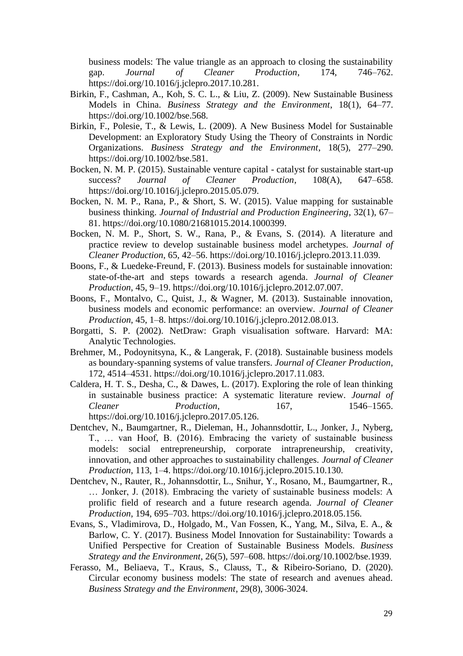business models: The value triangle as an approach to closing the sustainability gap. *Journal of Cleaner Production*, 174, 746–762. https://doi.org/10.1016/j.jclepro.2017.10.281.

- Birkin, F., Cashman, A., Koh, S. C. L., & Liu, Z. (2009). New Sustainable Business Models in China. *Business Strategy and the Environment*, 18(1), 64–77. https://doi.org/10.1002/bse.568.
- Birkin, F., Polesie, T., & Lewis, L. (2009). A New Business Model for Sustainable Development: an Exploratory Study Using the Theory of Constraints in Nordic Organizations. *Business Strategy and the Environment*, 18(5), 277–290. https://doi.org/10.1002/bse.581.
- Bocken, N. M. P. (2015). Sustainable venture capital catalyst for sustainable start-up success? *Journal of Cleaner Production*, 108(A), 647–658. https://doi.org/10.1016/j.jclepro.2015.05.079.
- Bocken, N. M. P., Rana, P., & Short, S. W. (2015). Value mapping for sustainable business thinking. *Journal of Industrial and Production Engineering*, 32(1), 67– 81. https://doi.org/10.1080/21681015.2014.1000399.
- Bocken, N. M. P., Short, S. W., Rana, P., & Evans, S. (2014). A literature and practice review to develop sustainable business model archetypes. *Journal of Cleaner Production*, 65, 42–56. https://doi.org/10.1016/j.jclepro.2013.11.039.
- Boons, F., & Luedeke-Freund, F. (2013). Business models for sustainable innovation: state-of-the-art and steps towards a research agenda. *Journal of Cleaner Production*, 45, 9–19. https://doi.org/10.1016/j.jclepro.2012.07.007.
- Boons, F., Montalvo, C., Quist, J., & Wagner, M. (2013). Sustainable innovation, business models and economic performance: an overview. *Journal of Cleaner Production*, 45, 1–8. https://doi.org/10.1016/j.jclepro.2012.08.013.
- Borgatti, S. P. (2002). NetDraw: Graph visualisation software. Harvard: MA: Analytic Technologies.
- Brehmer, M., Podoynitsyna, K., & Langerak, F. (2018). Sustainable business models as boundary-spanning systems of value transfers. *Journal of Cleaner Production*, 172, 4514–4531. https://doi.org/10.1016/j.jclepro.2017.11.083.
- Caldera, H. T. S., Desha, C., & Dawes, L. (2017). Exploring the role of lean thinking in sustainable business practice: A systematic literature review. *Journal of Cleaner Production*, 167, 1546–1565. https://doi.org/10.1016/j.jclepro.2017.05.126.
- Dentchev, N., Baumgartner, R., Dieleman, H., Johannsdottir, L., Jonker, J., Nyberg, T., … van Hoof, B. (2016). Embracing the variety of sustainable business models: social entrepreneurship, corporate intrapreneurship, creativity, innovation, and other approaches to sustainability challenges. *Journal of Cleaner Production*, 113, 1–4. https://doi.org/10.1016/j.jclepro.2015.10.130.
- Dentchev, N., Rauter, R., Johannsdottir, L., Snihur, Y., Rosano, M., Baumgartner, R., … Jonker, J. (2018). Embracing the variety of sustainable business models: A prolific field of research and a future research agenda. *Journal of Cleaner Production*, 194, 695–703. https://doi.org/10.1016/j.jclepro.2018.05.156.
- Evans, S., Vladimirova, D., Holgado, M., Van Fossen, K., Yang, M., Silva, E. A., & Barlow, C. Y. (2017). Business Model Innovation for Sustainability: Towards a Unified Perspective for Creation of Sustainable Business Models. *Business Strategy and the Environment*, 26(5), 597–608. https://doi.org/10.1002/bse.1939.
- Ferasso, M., Beliaeva, T., Kraus, S., Clauss, T., & Ribeiro-Soriano, D. (2020). Circular economy business models: The state of research and avenues ahead. *Business Strategy and the Environment*, 29(8), 3006-3024.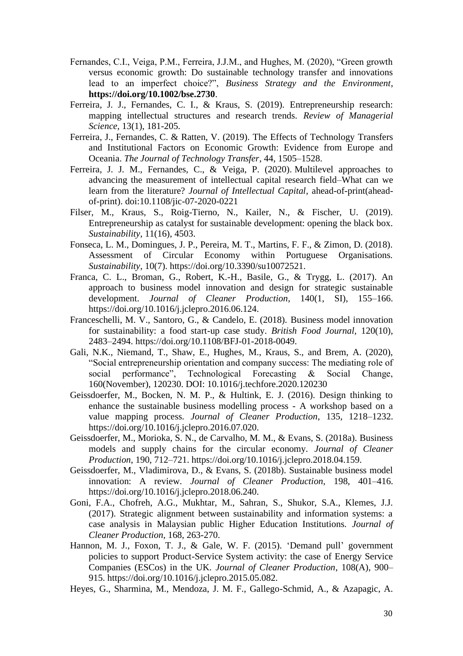- Fernandes, C.I., Veiga, P.M., Ferreira, J.J.M., and Hughes, M. (2020), "Green growth versus economic growth: Do sustainable technology transfer and innovations lead to an imperfect choice?", *Business Strategy and the Environment*, **<https://doi.org/10.1002/bse.2730>**.
- Ferreira, J. J., Fernandes, C. I., & Kraus, S. (2019). Entrepreneurship research: mapping intellectual structures and research trends. *Review of Managerial Science*, 13(1), 181-205.
- Ferreira, J., Fernandes, C. & Ratten, V. (2019). The Effects of Technology Transfers and Institutional Factors on Economic Growth: Evidence from Europe and Oceania. *The Journal of Technology Transfer*, 44, 1505–1528.
- Ferreira, J. J. M., Fernandes, C., & Veiga, P. (2020). Multilevel approaches to advancing the measurement of intellectual capital research field–What can we learn from the literature? *Journal of Intellectual Capital*, ahead-of-print(aheadof-print). doi:10.1108/jic-07-2020-0221
- Filser, M., Kraus, S., Roig-Tierno, N., Kailer, N., & Fischer, U. (2019). Entrepreneurship as catalyst for sustainable development: opening the black box. *Sustainability*, 11(16), 4503.
- Fonseca, L. M., Domingues, J. P., Pereira, M. T., Martins, F. F., & Zimon, D. (2018). Assessment of Circular Economy within Portuguese Organisations. *Sustainability*, 10(7). https://doi.org/10.3390/su10072521.
- Franca, C. L., Broman, G., Robert, K.-H., Basile, G., & Trygg, L. (2017). An approach to business model innovation and design for strategic sustainable development. *Journal of Cleaner Production*, 140(1, SI), 155–166. https://doi.org/10.1016/j.jclepro.2016.06.124.
- Franceschelli, M. V., Santoro, G., & Candelo, E. (2018). Business model innovation for sustainability: a food start-up case study. *British Food Journal,* 120(10), 2483–2494. https://doi.org/10.1108/BFJ-01-2018-0049.
- Gali, N.K., Niemand, T., Shaw, E., Hughes, M., Kraus, S., and Brem, A. (2020), "Social entrepreneurship orientation and company success: The mediating role of social performance", Technological Forecasting & Social Change, 160(November), 120230. DOI: 10.1016/j.techfore.2020.120230
- Geissdoerfer, M., Bocken, N. M. P., & Hultink, E. J. (2016). Design thinking to enhance the sustainable business modelling process - A workshop based on a value mapping process. *Journal of Cleaner Production*, 135, 1218–1232. https://doi.org/10.1016/j.jclepro.2016.07.020.
- Geissdoerfer, M., Morioka, S. N., de Carvalho, M. M., & Evans, S. (2018a). Business models and supply chains for the circular economy. *Journal of Cleaner Production*, 190, 712–721. https://doi.org/10.1016/j.jclepro.2018.04.159.
- Geissdoerfer, M., Vladimirova, D., & Evans, S. (2018b). Sustainable business model innovation: A review. *Journal of Cleaner Production,* 198, 401–416. https://doi.org/10.1016/j.jclepro.2018.06.240.
- Goni, F.A., Chofreh, A.G., Mukhtar, M., Sahran, S., Shukor, S.A., Klemes, J.J. (2017). Strategic alignment between sustainability and information systems: a case analysis in Malaysian public Higher Education Institutions. *Journal of Cleaner Production*, 168, 263-270.
- Hannon, M. J., Foxon, T. J., & Gale, W. F. (2015). 'Demand pull' government policies to support Product-Service System activity: the case of Energy Service Companies (ESCos) in the UK. *Journal of Cleaner Production*, 108(A), 900– 915. https://doi.org/10.1016/j.jclepro.2015.05.082.
- Heyes, G., Sharmina, M., Mendoza, J. M. F., Gallego-Schmid, A., & Azapagic, A.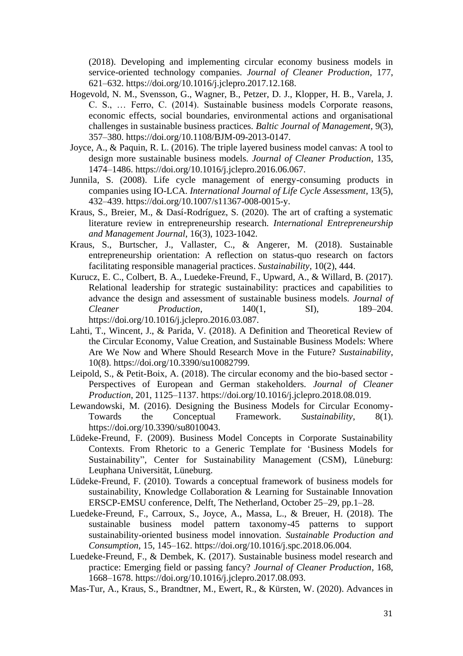(2018). Developing and implementing circular economy business models in service-oriented technology companies. *Journal of Cleaner Production*, 177, 621–632. https://doi.org/10.1016/j.jclepro.2017.12.168.

- Hogevold, N. M., Svensson, G., Wagner, B., Petzer, D. J., Klopper, H. B., Varela, J. C. S., … Ferro, C. (2014). Sustainable business models Corporate reasons, economic effects, social boundaries, environmental actions and organisational challenges in sustainable business practices. *Baltic Journal of Management,* 9(3), 357–380. https://doi.org/10.1108/BJM-09-2013-0147.
- Joyce, A., & Paquin, R. L. (2016). The triple layered business model canvas: A tool to design more sustainable business models. *Journal of Cleaner Production*, 135, 1474–1486. https://doi.org/10.1016/j.jclepro.2016.06.067.
- Junnila, S. (2008). Life cycle management of energy-consuming products in companies using IO-LCA. *International Journal of Life Cycle Assessment*, 13(5), 432–439. https://doi.org/10.1007/s11367-008-0015-y.
- Kraus, S., Breier, M., & Dasí-Rodríguez, S. (2020). The art of crafting a systematic literature review in entrepreneurship research. *International Entrepreneurship and Management Journal*, 16(3), 1023-1042.
- Kraus, S., Burtscher, J., Vallaster, C., & Angerer, M. (2018). Sustainable entrepreneurship orientation: A reflection on status-quo research on factors facilitating responsible managerial practices. *Sustainability*, 10(2), 444.
- Kurucz, E. C., Colbert, B. A., Luedeke-Freund, F., Upward, A., & Willard, B. (2017). Relational leadership for strategic sustainability: practices and capabilities to advance the design and assessment of sustainable business models. *Journal of Cleaner Production*, 140(1, SI), 189–204. https://doi.org/10.1016/j.jclepro.2016.03.087.
- Lahti, T., Wincent, J., & Parida, V. (2018). A Definition and Theoretical Review of the Circular Economy, Value Creation, and Sustainable Business Models: Where Are We Now and Where Should Research Move in the Future? *Sustainability*, 10(8). https://doi.org/10.3390/su10082799.
- Leipold, S., & Petit-Boix, A. (2018). The circular economy and the bio-based sector Perspectives of European and German stakeholders. *Journal of Cleaner Production*, 201, 1125–1137. https://doi.org/10.1016/j.jclepro.2018.08.019.
- Lewandowski, M. (2016). Designing the Business Models for Circular Economy-Towards the Conceptual Framework. *Sustainability*, 8(1). https://doi.org/10.3390/su8010043.
- Lüdeke-Freund, F. (2009). Business Model Concepts in Corporate Sustainability Contexts. From Rhetoric to a Generic Template for 'Business Models for Sustainability", Center for Sustainability Management (CSM), Lüneburg: Leuphana Universität, Lüneburg.
- Lüdeke-Freund, F. (2010). Towards a conceptual framework of business models for sustainability, Knowledge Collaboration & Learning for Sustainable Innovation ERSCP-EMSU conference, Delft, The Netherland, October 25–29, pp.1–28.
- Luedeke-Freund, F., Carroux, S., Joyce, A., Massa, L., & Breuer, H. (2018). The sustainable business model pattern taxonomy-45 patterns to support sustainability-oriented business model innovation. *Sustainable Production and Consumption*, 15, 145–162. https://doi.org/10.1016/j.spc.2018.06.004.
- Luedeke-Freund, F., & Dembek, K. (2017). Sustainable business model research and practice: Emerging field or passing fancy? *Journal of Cleaner Production*, 168, 1668–1678. https://doi.org/10.1016/j.jclepro.2017.08.093.
- Mas-Tur, A., Kraus, S., Brandtner, M., Ewert, R., & Kürsten, W. (2020). Advances in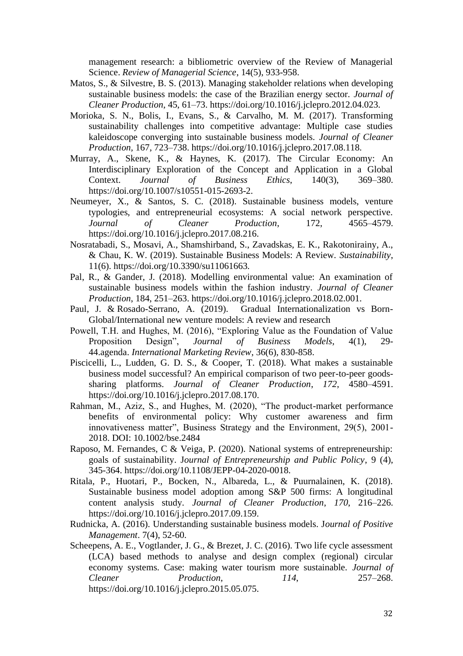management research: a bibliometric overview of the Review of Managerial Science. *Review of Managerial Science*, 14(5), 933-958.

- Matos, S., & Silvestre, B. S. (2013). Managing stakeholder relations when developing sustainable business models: the case of the Brazilian energy sector. *Journal of Cleaner Production*, 45, 61–73. https://doi.org/10.1016/j.jclepro.2012.04.023.
- Morioka, S. N., Bolis, I., Evans, S., & Carvalho, M. M. (2017). Transforming sustainability challenges into competitive advantage: Multiple case studies kaleidoscope converging into sustainable business models. *Journal of Cleaner Production,* 167, 723–738. https://doi.org/10.1016/j.jclepro.2017.08.118.
- Murray, A., Skene, K., & Haynes, K. (2017). The Circular Economy: An Interdisciplinary Exploration of the Concept and Application in a Global Context. *Journal of Business Ethics*, 140(3), 369–380. https://doi.org/10.1007/s10551-015-2693-2.
- Neumeyer, X., & Santos, S. C. (2018). Sustainable business models, venture typologies, and entrepreneurial ecosystems: A social network perspective. *Journal of Cleaner Production*, 172, 4565–4579. https://doi.org/10.1016/j.jclepro.2017.08.216.
- Nosratabadi, S., Mosavi, A., Shamshirband, S., Zavadskas, E. K., Rakotonirainy, A., & Chau, K. W. (2019). Sustainable Business Models: A Review. *Sustainability*, 11(6). https://doi.org/10.3390/su11061663.
- Pal, R., & Gander, J. (2018). Modelling environmental value: An examination of sustainable business models within the fashion industry. *Journal of Cleaner Production*, 184, 251–263. https://doi.org/10.1016/j.jclepro.2018.02.001.
- [Paul,](https://www.emeraldinsight.com/author/Paul%2C+Justin) J. & [Rosado-Serrano,](https://www.emeraldinsight.com/author/Rosado-Serrano%2C+Alexander) A. (2019). Gradual Internationalization vs Born-Global/International new venture models: A review and research
- Powell, T.H. and Hughes, M. (2016), "Exploring Value as the Foundation of Value Proposition Design", *Journal of Business Models*, 4(1), 29- 44.agenda. *International Marketing Review*, 36(6), 830-858.
- Piscicelli, L., Ludden, G. D. S., & Cooper, T. (2018). What makes a sustainable business model successful? An empirical comparison of two peer-to-peer goodssharing platforms. *Journal of Cleaner Production*, *172*, 4580–4591. https://doi.org/10.1016/j.jclepro.2017.08.170.
- Rahman, M., Aziz, S., and Hughes, M. (2020), "The product-market performance benefits of environmental policy: Why customer awareness and firm innovativeness matter", Business Strategy and the Environment, 29(5), 2001- 2018. DOI: 10.1002/bse.2484
- Raposo, M. Fernandes, C & Veiga, P. (2020). National systems of entrepreneurship: goals of sustainability. J*ournal of Entrepreneurship and Public Policy*, 9 (4), 345-364. [https://doi.org/10.1108/JEPP-04-2020-0018.](https://doi.org/10.1108/JEPP-04-2020-0018)
- Ritala, P., Huotari, P., Bocken, N., Albareda, L., & Puurnalainen, K. (2018). Sustainable business model adoption among S&P 500 firms: A longitudinal content analysis study. *Journal of Cleaner Production*, *170*, 216–226. https://doi.org/10.1016/j.jclepro.2017.09.159.
- Rudnicka, A. (2016). Understanding sustainable business models. J*ournal of Positive Management*. 7(4), 52-60.
- Scheepens, A. E., Vogtlander, J. G., & Brezet, J. C. (2016). Two life cycle assessment (LCA) based methods to analyse and design complex (regional) circular economy systems. Case: making water tourism more sustainable. *Journal of Cleaner Production*, *114*, 257–268. https://doi.org/10.1016/j.jclepro.2015.05.075.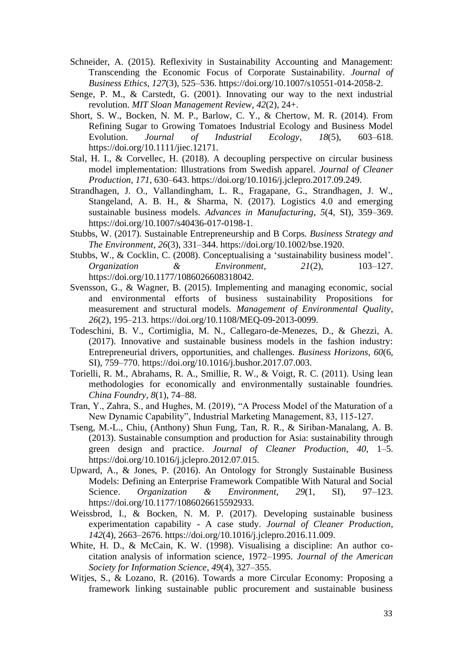- Schneider, A. (2015). Reflexivity in Sustainability Accounting and Management: Transcending the Economic Focus of Corporate Sustainability. *Journal of Business Ethics*, *127*(3), 525–536. https://doi.org/10.1007/s10551-014-2058-2.
- Senge, P. M., & Carstedt, G. (2001). Innovating our way to the next industrial revolution. *MIT Sloan Management Review*, *42*(2), 24+.
- Short, S. W., Bocken, N. M. P., Barlow, C. Y., & Chertow, M. R. (2014). From Refining Sugar to Growing Tomatoes Industrial Ecology and Business Model Evolution. *Journal of Industrial Ecology*, *18*(5), 603–618. https://doi.org/10.1111/jiec.12171.
- Stal, H. I., & Corvellec, H. (2018). A decoupling perspective on circular business model implementation: Illustrations from Swedish apparel. *Journal of Cleaner Production*, *171*, 630–643. https://doi.org/10.1016/j.jclepro.2017.09.249.
- Strandhagen, J. O., Vallandingham, L. R., Fragapane, G., Strandhagen, J. W., Stangeland, A. B. H., & Sharma, N. (2017). Logistics 4.0 and emerging sustainable business models. *Advances in Manufacturing*, *5*(4, SI), 359–369. https://doi.org/10.1007/s40436-017-0198-1.
- Stubbs, W. (2017). Sustainable Entrepreneurship and B Corps. *Business Strategy and The Environment*, *26*(3), 331–344. https://doi.org/10.1002/bse.1920.
- Stubbs, W., & Cocklin, C. (2008). Conceptualising a 'sustainability business model'. *Organization & Environment*, *21*(2), 103–127. https://doi.org/10.1177/1086026608318042.
- Svensson, G., & Wagner, B. (2015). Implementing and managing economic, social and environmental efforts of business sustainability Propositions for measurement and structural models. *Management of Environmental Quality*, *26*(2), 195–213. https://doi.org/10.1108/MEQ-09-2013-0099.
- Todeschini, B. V., Cortimiglia, M. N., Callegaro-de-Menezes, D., & Ghezzi, A. (2017). Innovative and sustainable business models in the fashion industry: Entrepreneurial drivers, opportunities, and challenges. *Business Horizons*, *60*(6, SI), 759–770. https://doi.org/10.1016/j.bushor.2017.07.003.
- Torielli, R. M., Abrahams, R. A., Smillie, R. W., & Voigt, R. C. (2011). Using lean methodologies for economically and environmentally sustainable foundries. *China Foundry*, *8*(1), 74–88.
- Tran, Y., Zahra, S., and Hughes, M. (2019), "A Process Model of the Maturation of a New Dynamic Capability", Industrial Marketing Management, 83, 115-127.
- Tseng, M.-L., Chiu, (Anthony) Shun Fung, Tan, R. R., & Siriban-Manalang, A. B. (2013). Sustainable consumption and production for Asia: sustainability through green design and practice. *Journal of Cleaner Production*, *40*, 1–5. https://doi.org/10.1016/j.jclepro.2012.07.015.
- Upward, A., & Jones, P. (2016). An Ontology for Strongly Sustainable Business Models: Defining an Enterprise Framework Compatible With Natural and Social Science. *Organization & Environment*, *29*(1, SI), 97–123. https://doi.org/10.1177/1086026615592933.
- Weissbrod, I., & Bocken, N. M. P. (2017). Developing sustainable business experimentation capability - A case study. *Journal of Cleaner Production*, *142*(4), 2663–2676. https://doi.org/10.1016/j.jclepro.2016.11.009.
- White, H. D., & McCain, K. W. (1998). Visualising a discipline: An author cocitation analysis of information science, 1972–1995. *Journal of the American Society for Information Science*, *49*(4), 327–355.
- Witjes, S., & Lozano, R. (2016). Towards a more Circular Economy: Proposing a framework linking sustainable public procurement and sustainable business